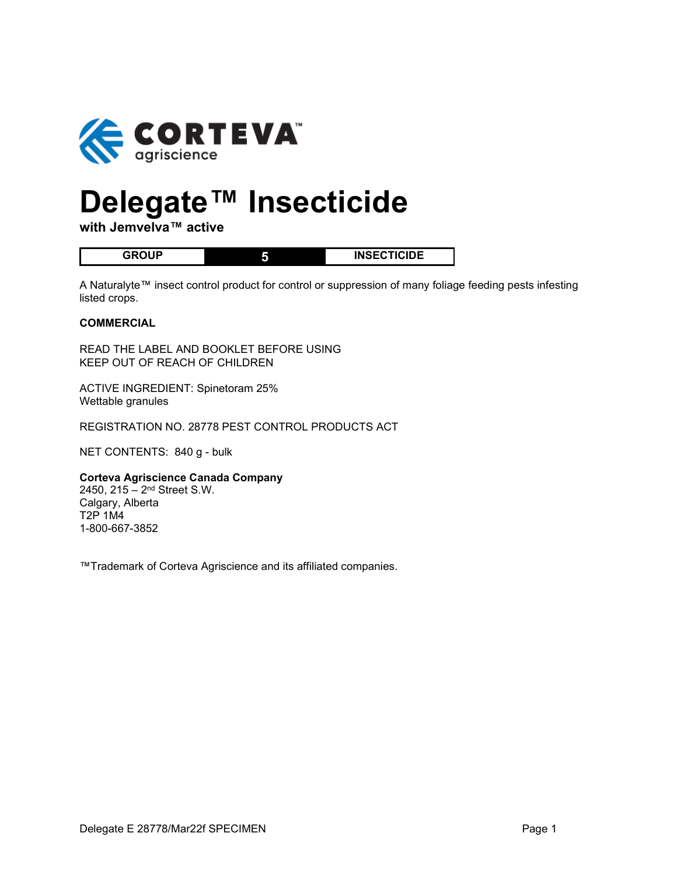

# **Delegate™ Insecticide**

**with Jemvelva™ active**

| םו ו <b>ח</b> ם | <b>INSECTICIDE</b> |
|-----------------|--------------------|

A Naturalyte™ insect control product for control or suppression of many foliage feeding pests infesting listed crops.

#### **COMMERCIAL**

READ THE LABEL AND BOOKLET BEFORE USING KEEP OUT OF REACH OF CHILDREN

ACTIVE INGREDIENT: Spinetoram 25% Wettable granules

REGISTRATION NO. 28778 PEST CONTROL PRODUCTS ACT

NET CONTENTS: 840 g - bulk

#### **Corteva Agriscience Canada Company**

2450, 215 – 2nd Street S.W. Calgary, Alberta T2P 1M4 1-800-667-3852

™Trademark of Corteva Agriscience and its affiliated companies.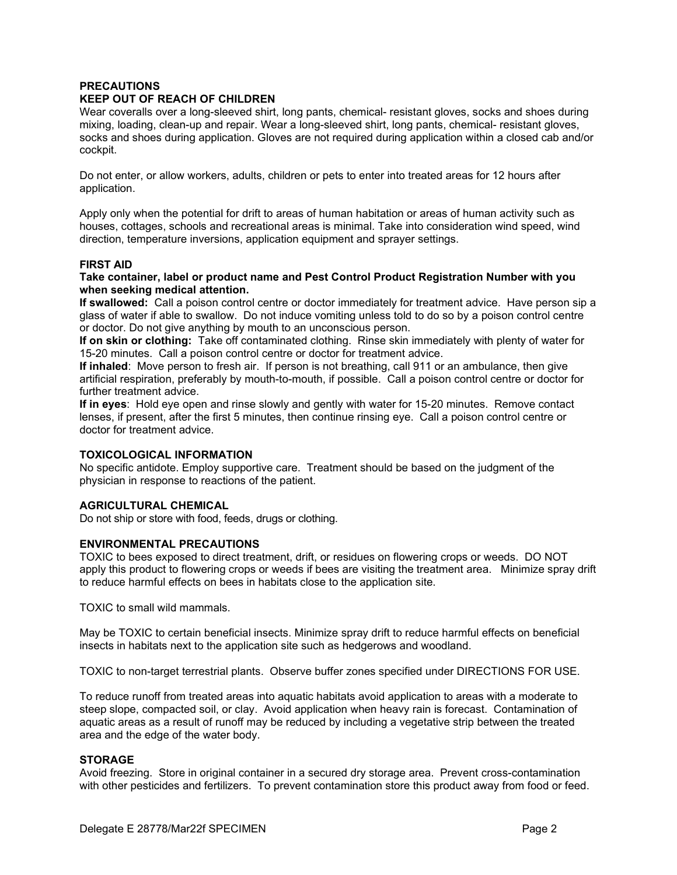## **PRECAUTIONS**

#### **KEEP OUT OF REACH OF CHILDREN**

Wear coveralls over a long-sleeved shirt, long pants, chemical- resistant gloves, socks and shoes during mixing, loading, clean-up and repair. Wear a long-sleeved shirt, long pants, chemical- resistant gloves, socks and shoes during application. Gloves are not required during application within a closed cab and/or cockpit.

Do not enter, or allow workers, adults, children or pets to enter into treated areas for 12 hours after application.

Apply only when the potential for drift to areas of human habitation or areas of human activity such as houses, cottages, schools and recreational areas is minimal. Take into consideration wind speed, wind direction, temperature inversions, application equipment and sprayer settings.

#### **FIRST AID**

#### **Take container, label or product name and Pest Control Product Registration Number with you when seeking medical attention.**

**If swallowed:** Call a poison control centre or doctor immediately for treatment advice. Have person sip a glass of water if able to swallow. Do not induce vomiting unless told to do so by a poison control centre or doctor. Do not give anything by mouth to an unconscious person.

**If on skin or clothing:** Take off contaminated clothing. Rinse skin immediately with plenty of water for 15-20 minutes. Call a poison control centre or doctor for treatment advice.

**If inhaled**: Move person to fresh air. If person is not breathing, call 911 or an ambulance, then give artificial respiration, preferably by mouth-to-mouth, if possible. Call a poison control centre or doctor for further treatment advice.

**If in eyes**: Hold eye open and rinse slowly and gently with water for 15-20 minutes. Remove contact lenses, if present, after the first 5 minutes, then continue rinsing eye. Call a poison control centre or doctor for treatment advice.

# **TOXICOLOGICAL INFORMATION**

No specific antidote. Employ supportive care. Treatment should be based on the judgment of the physician in response to reactions of the patient.

#### **AGRICULTURAL CHEMICAL**

Do not ship or store with food, feeds, drugs or clothing.

#### **ENVIRONMENTAL PRECAUTIONS**

TOXIC to bees exposed to direct treatment, drift, or residues on flowering crops or weeds. DO NOT apply this product to flowering crops or weeds if bees are visiting the treatment area. Minimize spray drift to reduce harmful effects on bees in habitats close to the application site.

TOXIC to small wild mammals.

May be TOXIC to certain beneficial insects. Minimize spray drift to reduce harmful effects on beneficial insects in habitats next to the application site such as hedgerows and woodland.

TOXIC to non-target terrestrial plants. Observe buffer zones specified under DIRECTIONS FOR USE.

To reduce runoff from treated areas into aquatic habitats avoid application to areas with a moderate to steep slope, compacted soil, or clay. Avoid application when heavy rain is forecast. Contamination of aquatic areas as a result of runoff may be reduced by including a vegetative strip between the treated area and the edge of the water body.

#### **STORAGE**

Avoid freezing. Store in original container in a secured dry storage area. Prevent cross-contamination with other pesticides and fertilizers. To prevent contamination store this product away from food or feed.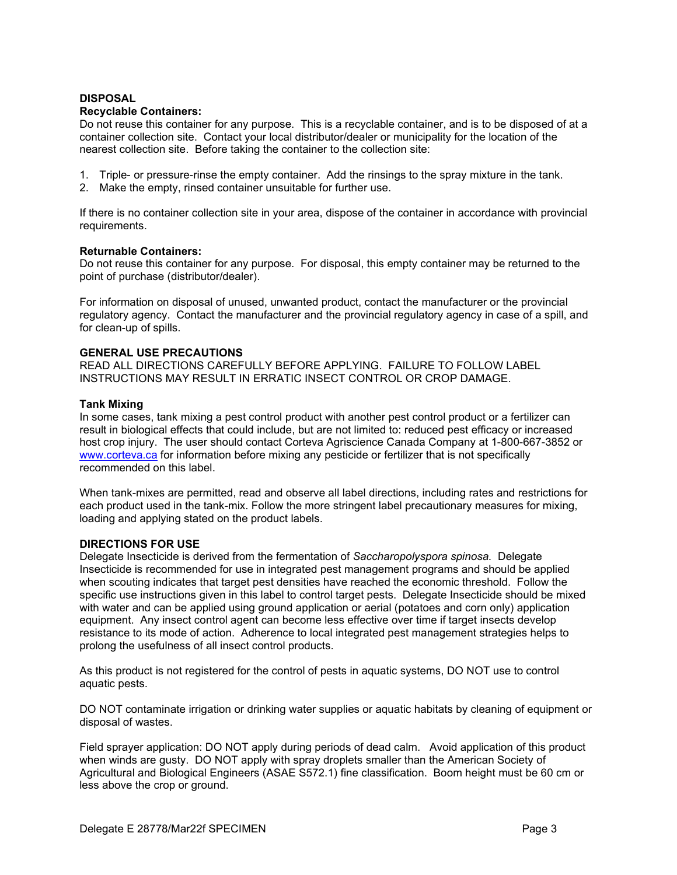# **DISPOSAL**

#### **Recyclable Containers:**

Do not reuse this container for any purpose. This is a recyclable container, and is to be disposed of at a container collection site. Contact your local distributor/dealer or municipality for the location of the nearest collection site. Before taking the container to the collection site:

- 1. Triple- or pressure-rinse the empty container. Add the rinsings to the spray mixture in the tank.
- 2. Make the empty, rinsed container unsuitable for further use.

If there is no container collection site in your area, dispose of the container in accordance with provincial requirements.

#### **Returnable Containers:**

Do not reuse this container for any purpose. For disposal, this empty container may be returned to the point of purchase (distributor/dealer).

For information on disposal of unused, unwanted product, contact the manufacturer or the provincial regulatory agency. Contact the manufacturer and the provincial regulatory agency in case of a spill, and for clean-up of spills.

#### **GENERAL USE PRECAUTIONS**

READ ALL DIRECTIONS CAREFULLY BEFORE APPLYING. FAILURE TO FOLLOW LABEL INSTRUCTIONS MAY RESULT IN ERRATIC INSECT CONTROL OR CROP DAMAGE.

#### **Tank Mixing**

In some cases, tank mixing a pest control product with another pest control product or a fertilizer can result in biological effects that could include, but are not limited to: reduced pest efficacy or increased host crop injury. The user should contact Corteva Agriscience Canada Company at 1-800-667-3852 or [www.corteva.ca](http://www.corteva.ca/) for information before mixing any pesticide or fertilizer that is not specifically recommended on this label.

When tank-mixes are permitted, read and observe all label directions, including rates and restrictions for each product used in the tank-mix. Follow the more stringent label precautionary measures for mixing, loading and applying stated on the product labels.

#### **DIRECTIONS FOR USE**

Delegate Insecticide is derived from the fermentation of *Saccharopolyspora spinosa.* Delegate Insecticide is recommended for use in integrated pest management programs and should be applied when scouting indicates that target pest densities have reached the economic threshold. Follow the specific use instructions given in this label to control target pests. Delegate Insecticide should be mixed with water and can be applied using ground application or aerial (potatoes and corn only) application equipment. Any insect control agent can become less effective over time if target insects develop resistance to its mode of action. Adherence to local integrated pest management strategies helps to prolong the usefulness of all insect control products.

As this product is not registered for the control of pests in aquatic systems, DO NOT use to control aquatic pests.

DO NOT contaminate irrigation or drinking water supplies or aquatic habitats by cleaning of equipment or disposal of wastes.

Field sprayer application: DO NOT apply during periods of dead calm. Avoid application of this product when winds are gusty. DO NOT apply with spray droplets smaller than the American Society of Agricultural and Biological Engineers (ASAE S572.1) fine classification. Boom height must be 60 cm or less above the crop or ground.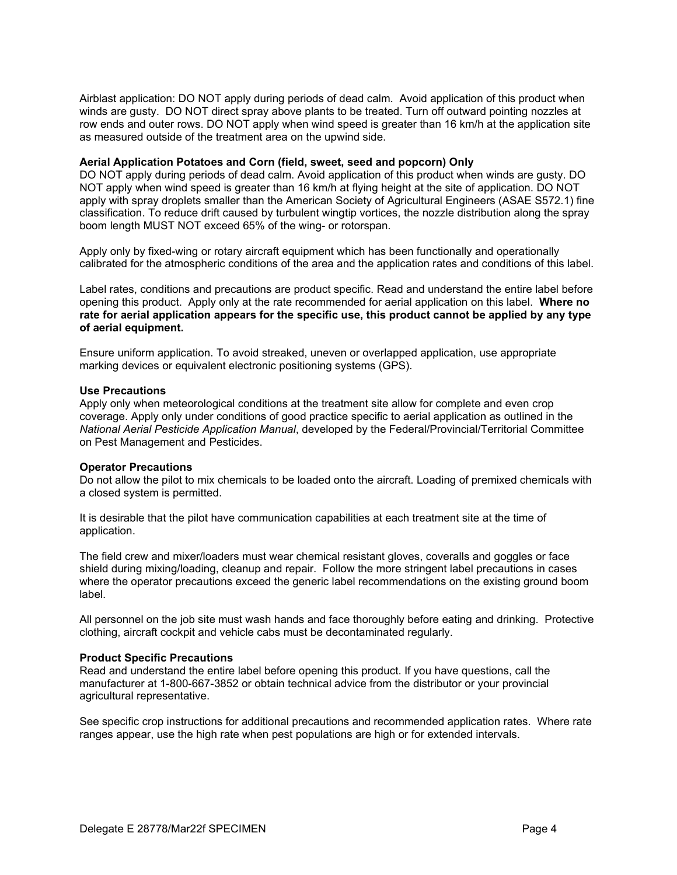Airblast application: DO NOT apply during periods of dead calm. Avoid application of this product when winds are gusty. DO NOT direct spray above plants to be treated. Turn off outward pointing nozzles at row ends and outer rows. DO NOT apply when wind speed is greater than 16 km/h at the application site as measured outside of the treatment area on the upwind side.

#### **Aerial Application Potatoes and Corn (field, sweet, seed and popcorn) Only**

DO NOT apply during periods of dead calm. Avoid application of this product when winds are gusty. DO NOT apply when wind speed is greater than 16 km/h at flying height at the site of application. DO NOT apply with spray droplets smaller than the American Society of Agricultural Engineers (ASAE S572.1) fine classification. To reduce drift caused by turbulent wingtip vortices, the nozzle distribution along the spray boom length MUST NOT exceed 65% of the wing- or rotorspan.

Apply only by fixed-wing or rotary aircraft equipment which has been functionally and operationally calibrated for the atmospheric conditions of the area and the application rates and conditions of this label.

Label rates, conditions and precautions are product specific. Read and understand the entire label before opening this product. Apply only at the rate recommended for aerial application on this label. **Where no rate for aerial application appears for the specific use, this product cannot be applied by any type of aerial equipment.**

Ensure uniform application. To avoid streaked, uneven or overlapped application, use appropriate marking devices or equivalent electronic positioning systems (GPS).

#### **Use Precautions**

Apply only when meteorological conditions at the treatment site allow for complete and even crop coverage. Apply only under conditions of good practice specific to aerial application as outlined in the *National Aerial Pesticide Application Manual*, developed by the Federal/Provincial/Territorial Committee on Pest Management and Pesticides.

#### **Operator Precautions**

Do not allow the pilot to mix chemicals to be loaded onto the aircraft. Loading of premixed chemicals with a closed system is permitted.

It is desirable that the pilot have communication capabilities at each treatment site at the time of application.

The field crew and mixer/loaders must wear chemical resistant gloves, coveralls and goggles or face shield during mixing/loading, cleanup and repair. Follow the more stringent label precautions in cases where the operator precautions exceed the generic label recommendations on the existing ground boom label.

All personnel on the job site must wash hands and face thoroughly before eating and drinking. Protective clothing, aircraft cockpit and vehicle cabs must be decontaminated regularly.

#### **Product Specific Precautions**

Read and understand the entire label before opening this product. If you have questions, call the manufacturer at 1-800-667-3852 or obtain technical advice from the distributor or your provincial agricultural representative.

See specific crop instructions for additional precautions and recommended application rates. Where rate ranges appear, use the high rate when pest populations are high or for extended intervals.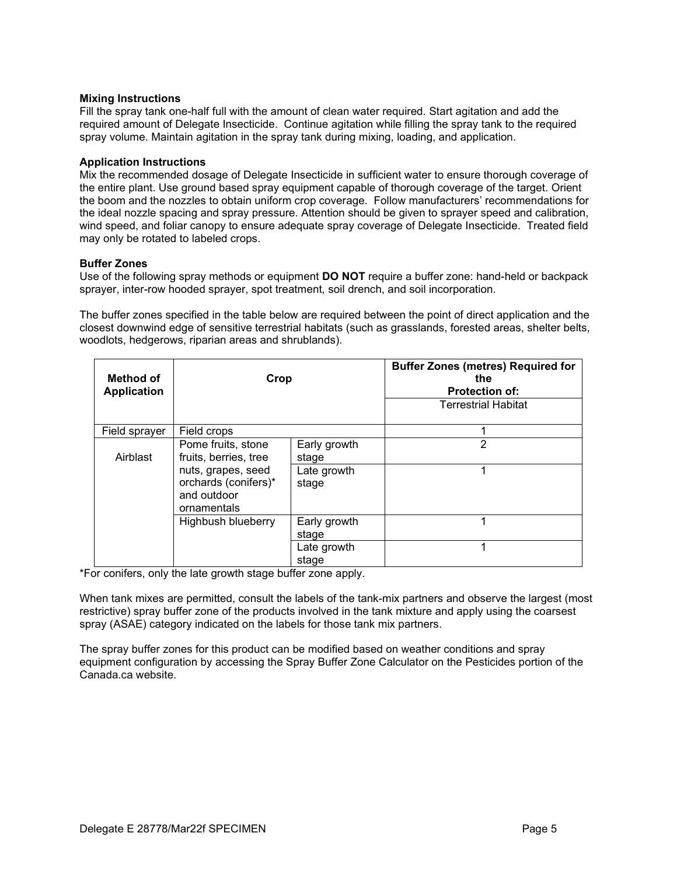#### **Mixing Instructions**

Fill the spray tank one-half full with the amount of clean water required. Start agitation and add the required amount of Delegate Insecticide. Continue agitation while filling the spray tank to the required spray volume. Maintain agitation in the spray tank during mixing, loading, and application.

#### **Application Instructions**

Mix the recommended dosage of Delegate Insecticide in sufficient water to ensure thorough coverage of the entire plant. Use ground based spray equipment capable of thorough coverage of the target. Orient the boom and the nozzles to obtain uniform crop coverage. Follow manufacturers' recommendations for the ideal nozzle spacing and spray pressure. Attention should be given to sprayer speed and calibration, wind speed, and foliar canopy to ensure adequate spray coverage of Delegate Insecticide. Treated field may only be rotated to labeled crops.

# **Buffer Zones**

Use of the following spray methods or equipment **DO NOT** require a buffer zone: hand-held or backpack sprayer, inter-row hooded sprayer, spot treatment, soil drench, and soil incorporation.

The buffer zones specified in the table below are required between the point of direct application and the closest downwind edge of sensitive terrestrial habitats (such as grasslands, forested areas, shelter belts, woodlots, hedgerows, riparian areas and shrublands).

| Method of<br><b>Application</b> | Crop                                                                                                                    |                                               | <b>Buffer Zones (metres) Required for</b><br>the<br><b>Protection of:</b><br><b>Terrestrial Habitat</b> |
|---------------------------------|-------------------------------------------------------------------------------------------------------------------------|-----------------------------------------------|---------------------------------------------------------------------------------------------------------|
| Field sprayer                   | Field crops                                                                                                             |                                               |                                                                                                         |
| Airblast                        | Pome fruits, stone<br>fruits, berries, tree<br>nuts, grapes, seed<br>orchards (conifers)*<br>and outdoor<br>ornamentals | Early growth<br>stage<br>Late growth<br>stage | 2<br>1                                                                                                  |
|                                 | Highbush blueberry                                                                                                      | Early growth<br>stage                         | 1                                                                                                       |
|                                 |                                                                                                                         | Late growth<br>stage                          | 1                                                                                                       |

\*For conifers, only the late growth stage buffer zone apply.

When tank mixes are permitted, consult the labels of the tank-mix partners and observe the largest (most restrictive) spray buffer zone of the products involved in the tank mixture and apply using the coarsest spray (ASAE) category indicated on the labels for those tank mix partners.

The spray buffer zones for this product can be modified based on weather conditions and spray equipment configuration by accessing the Spray Buffer Zone Calculator on the Pesticides portion of the Canada.ca website.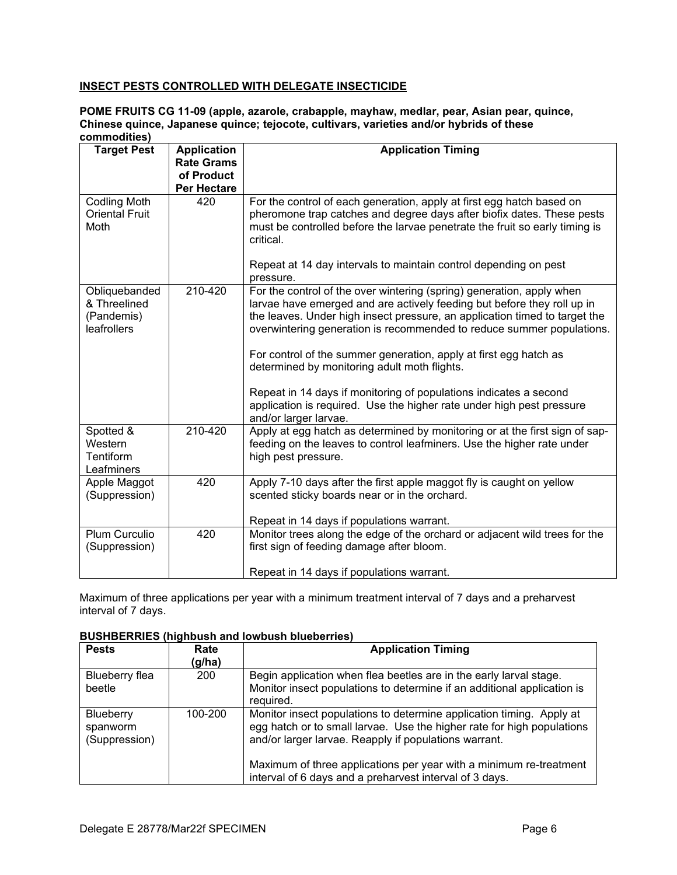# **INSECT PESTS CONTROLLED WITH DELEGATE INSECTICIDE**

#### **POME FRUITS CG 11-09 (apple, azarole, crabapple, mayhaw, medlar, pear, Asian pear, quince, Chinese quince, Japanese quince; tejocote, cultivars, varieties and/or hybrids of these commodities)**

| <b>Target Pest</b>                                         | <b>Application</b><br><b>Rate Grams</b><br>of Product | <b>Application Timing</b>                                                                                                                                                                                                                                                                                                                                                                                                                                                                                                                                                                           |
|------------------------------------------------------------|-------------------------------------------------------|-----------------------------------------------------------------------------------------------------------------------------------------------------------------------------------------------------------------------------------------------------------------------------------------------------------------------------------------------------------------------------------------------------------------------------------------------------------------------------------------------------------------------------------------------------------------------------------------------------|
|                                                            | <b>Per Hectare</b>                                    |                                                                                                                                                                                                                                                                                                                                                                                                                                                                                                                                                                                                     |
| <b>Codling Moth</b><br><b>Oriental Fruit</b><br>Moth       | 420                                                   | For the control of each generation, apply at first egg hatch based on<br>pheromone trap catches and degree days after biofix dates. These pests<br>must be controlled before the larvae penetrate the fruit so early timing is<br>critical.<br>Repeat at 14 day intervals to maintain control depending on pest<br>pressure.                                                                                                                                                                                                                                                                        |
| Obliquebanded<br>& Threelined<br>(Pandemis)<br>leafrollers | 210-420                                               | For the control of the over wintering (spring) generation, apply when<br>larvae have emerged and are actively feeding but before they roll up in<br>the leaves. Under high insect pressure, an application timed to target the<br>overwintering generation is recommended to reduce summer populations.<br>For control of the summer generation, apply at first egg hatch as<br>determined by monitoring adult moth flights.<br>Repeat in 14 days if monitoring of populations indicates a second<br>application is required. Use the higher rate under high pest pressure<br>and/or larger larvae. |
| Spotted &<br>Western<br>Tentiform<br>Leafminers            | 210-420                                               | Apply at egg hatch as determined by monitoring or at the first sign of sap-<br>feeding on the leaves to control leafminers. Use the higher rate under<br>high pest pressure.                                                                                                                                                                                                                                                                                                                                                                                                                        |
| Apple Maggot<br>(Suppression)                              | 420                                                   | Apply 7-10 days after the first apple maggot fly is caught on yellow<br>scented sticky boards near or in the orchard.<br>Repeat in 14 days if populations warrant.                                                                                                                                                                                                                                                                                                                                                                                                                                  |
| Plum Curculio<br>(Suppression)                             | 420                                                   | Monitor trees along the edge of the orchard or adjacent wild trees for the<br>first sign of feeding damage after bloom.<br>Repeat in 14 days if populations warrant.                                                                                                                                                                                                                                                                                                                                                                                                                                |

Maximum of three applications per year with a minimum treatment interval of 7 days and a preharvest interval of 7 days.

## **BUSHBERRIES (highbush and lowbush blueberries)**

| <b>Pests</b>                           | Rate<br>(g/ha) | <b>Application Timing</b>                                                                                                                                                                               |
|----------------------------------------|----------------|---------------------------------------------------------------------------------------------------------------------------------------------------------------------------------------------------------|
| Blueberry flea<br>beetle               | 200            | Begin application when flea beetles are in the early larval stage.<br>Monitor insect populations to determine if an additional application is<br>required.                                              |
| Blueberry<br>spanworm<br>(Suppression) | 100-200        | Monitor insect populations to determine application timing. Apply at<br>egg hatch or to small larvae. Use the higher rate for high populations<br>and/or larger larvae. Reapply if populations warrant. |
|                                        |                | Maximum of three applications per year with a minimum re-treatment<br>interval of 6 days and a preharvest interval of 3 days.                                                                           |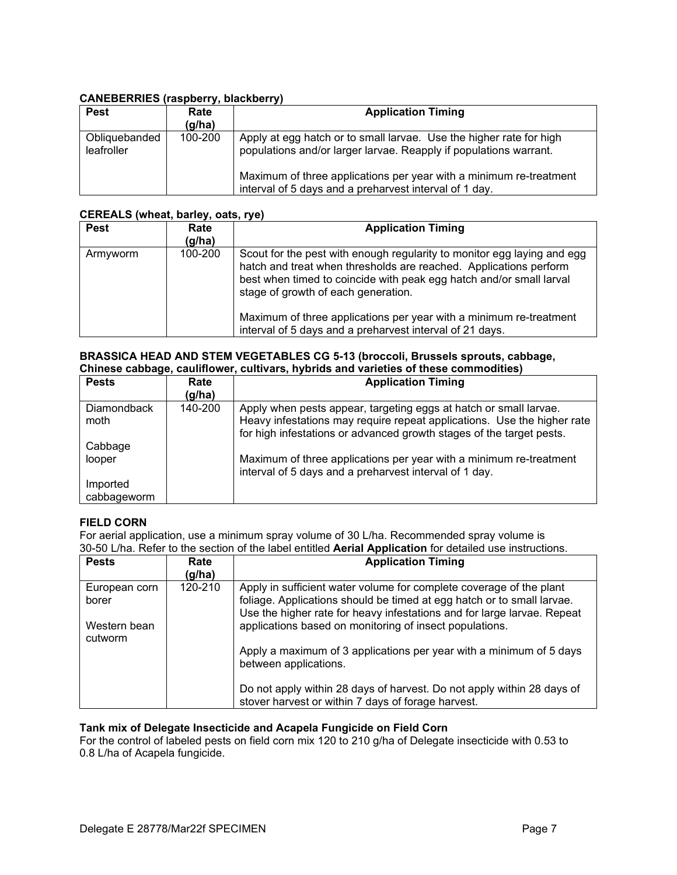# **CANEBERRIES (raspberry, blackberry)**

| <b>Pest</b>                 | Rate<br>(g/ha) | <b>Application Timing</b>                                                                                                                                                                                                                                                |
|-----------------------------|----------------|--------------------------------------------------------------------------------------------------------------------------------------------------------------------------------------------------------------------------------------------------------------------------|
| Obliquebanded<br>leafroller | 100-200        | Apply at egg hatch or to small larvae. Use the higher rate for high<br>populations and/or larger larvae. Reapply if populations warrant.<br>Maximum of three applications per year with a minimum re-treatment<br>interval of 5 days and a preharvest interval of 1 day. |

# **CEREALS (wheat, barley, oats, rye)**

| <b>Pest</b> | Rate<br>(g/ha) | <b>Application Timing</b>                                                                                                                                                                                                                                                                                                                                                                    |
|-------------|----------------|----------------------------------------------------------------------------------------------------------------------------------------------------------------------------------------------------------------------------------------------------------------------------------------------------------------------------------------------------------------------------------------------|
| Armyworm    | 100-200        | Scout for the pest with enough regularity to monitor egg laying and egg<br>hatch and treat when thresholds are reached. Applications perform<br>best when timed to coincide with peak egg hatch and/or small larval<br>stage of growth of each generation.<br>Maximum of three applications per year with a minimum re-treatment<br>interval of 5 days and a preharvest interval of 21 days. |

#### **BRASSICA HEAD AND STEM VEGETABLES CG 5-13 (broccoli, Brussels sprouts, cabbage, Chinese cabbage, cauliflower, cultivars, hybrids and varieties of these commodities)**

| <b>Pests</b>       | Rate<br>(g/ha) | <b>Application Timing</b>                                                                                                                       |
|--------------------|----------------|-------------------------------------------------------------------------------------------------------------------------------------------------|
| <b>Diamondback</b> | 140-200        | Apply when pests appear, targeting eggs at hatch or small larvae.                                                                               |
| moth               |                | Heavy infestations may require repeat applications. Use the higher rate<br>for high infestations or advanced growth stages of the target pests. |
| Cabbage            |                |                                                                                                                                                 |
| looper             |                | Maximum of three applications per year with a minimum re-treatment<br>interval of 5 days and a preharvest interval of 1 day.                    |
| Imported           |                |                                                                                                                                                 |
| cabbageworm        |                |                                                                                                                                                 |

# **FIELD CORN**

For aerial application, use a minimum spray volume of 30 L/ha. Recommended spray volume is 30-50 L/ha. Refer to the section of the label entitled **Aerial Application** for detailed use instructions.

| <b>Pests</b>            | Rate<br>(g/ha) | <b>Application Timing</b>                                                                                                                                                                                                |
|-------------------------|----------------|--------------------------------------------------------------------------------------------------------------------------------------------------------------------------------------------------------------------------|
| European corn<br>borer  | 120-210        | Apply in sufficient water volume for complete coverage of the plant<br>foliage. Applications should be timed at egg hatch or to small larvae.<br>Use the higher rate for heavy infestations and for large larvae. Repeat |
| Western bean<br>cutworm |                | applications based on monitoring of insect populations.                                                                                                                                                                  |
|                         |                | Apply a maximum of 3 applications per year with a minimum of 5 days<br>between applications.                                                                                                                             |
|                         |                | Do not apply within 28 days of harvest. Do not apply within 28 days of<br>stover harvest or within 7 days of forage harvest.                                                                                             |

# **Tank mix of Delegate Insecticide and Acapela Fungicide on Field Corn**

For the control of labeled pests on field corn mix 120 to 210 g/ha of Delegate insecticide with 0.53 to 0.8 L/ha of Acapela fungicide.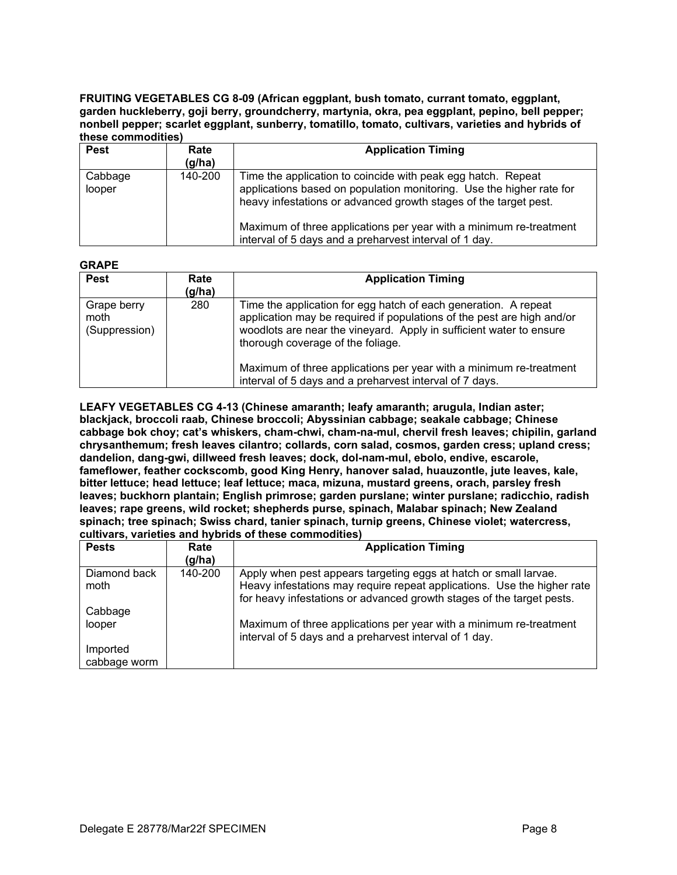**FRUITING VEGETABLES CG 8-09 (African eggplant, bush tomato, currant tomato, eggplant, garden huckleberry, goji berry, groundcherry, martynia, okra, pea eggplant, pepino, bell pepper; nonbell pepper; scarlet eggplant, sunberry, tomatillo, tomato, cultivars, varieties and hybrids of these commodities)**

| <b>Pest</b>       | Rate<br>(g/ha) | <b>Application Timing</b>                                                                                                                                                                                |
|-------------------|----------------|----------------------------------------------------------------------------------------------------------------------------------------------------------------------------------------------------------|
| Cabbage<br>looper | 140-200        | Time the application to coincide with peak egg hatch. Repeat<br>applications based on population monitoring. Use the higher rate for<br>heavy infestations or advanced growth stages of the target pest. |
|                   |                | Maximum of three applications per year with a minimum re-treatment<br>interval of 5 days and a preharvest interval of 1 day.                                                                             |

# **GRAPE**

| <b>Pest</b>                          | Rate<br>(g/ha) | <b>Application Timing</b>                                                                                                                                                                                                                                                                                                   |
|--------------------------------------|----------------|-----------------------------------------------------------------------------------------------------------------------------------------------------------------------------------------------------------------------------------------------------------------------------------------------------------------------------|
| Grape berry<br>moth<br>(Suppression) | 280            | Time the application for egg hatch of each generation. A repeat<br>application may be required if populations of the pest are high and/or<br>woodlots are near the vineyard. Apply in sufficient water to ensure<br>thorough coverage of the foliage.<br>Maximum of three applications per year with a minimum re-treatment |
|                                      |                | interval of 5 days and a preharvest interval of 7 days.                                                                                                                                                                                                                                                                     |

**LEAFY VEGETABLES CG 4-13 (Chinese amaranth; leafy amaranth; arugula, Indian aster; blackjack, broccoli raab, Chinese broccoli; Abyssinian cabbage; seakale cabbage; Chinese cabbage bok choy; cat's whiskers, cham-chwi, cham-na-mul, chervil fresh leaves; chipilin, garland chrysanthemum; fresh leaves cilantro; collards, corn salad, cosmos, garden cress; upland cress; dandelion, dang-gwi, dillweed fresh leaves; dock, dol-nam-mul, ebolo, endive, escarole, fameflower, feather cockscomb, good King Henry, hanover salad, huauzontle, jute leaves, kale, bitter lettuce; head lettuce; leaf lettuce; maca, mizuna, mustard greens, orach, parsley fresh leaves; buckhorn plantain; English primrose; garden purslane; winter purslane; radicchio, radish leaves; rape greens, wild rocket; shepherds purse, spinach, Malabar spinach; New Zealand spinach; tree spinach; Swiss chard, tanier spinach, turnip greens, Chinese violet; watercress, cultivars, varieties and hybrids of these commodities)**

| <b>Pests</b> | Rate    | <b>Application Timing</b>                                               |
|--------------|---------|-------------------------------------------------------------------------|
|              | (g/ha)  |                                                                         |
| Diamond back | 140-200 | Apply when pest appears targeting eggs at hatch or small larvae.        |
| moth         |         | Heavy infestations may require repeat applications. Use the higher rate |
|              |         | for heavy infestations or advanced growth stages of the target pests.   |
| Cabbage      |         |                                                                         |
| looper       |         | Maximum of three applications per year with a minimum re-treatment      |
|              |         | interval of 5 days and a preharvest interval of 1 day.                  |
| Imported     |         |                                                                         |
| cabbage worm |         |                                                                         |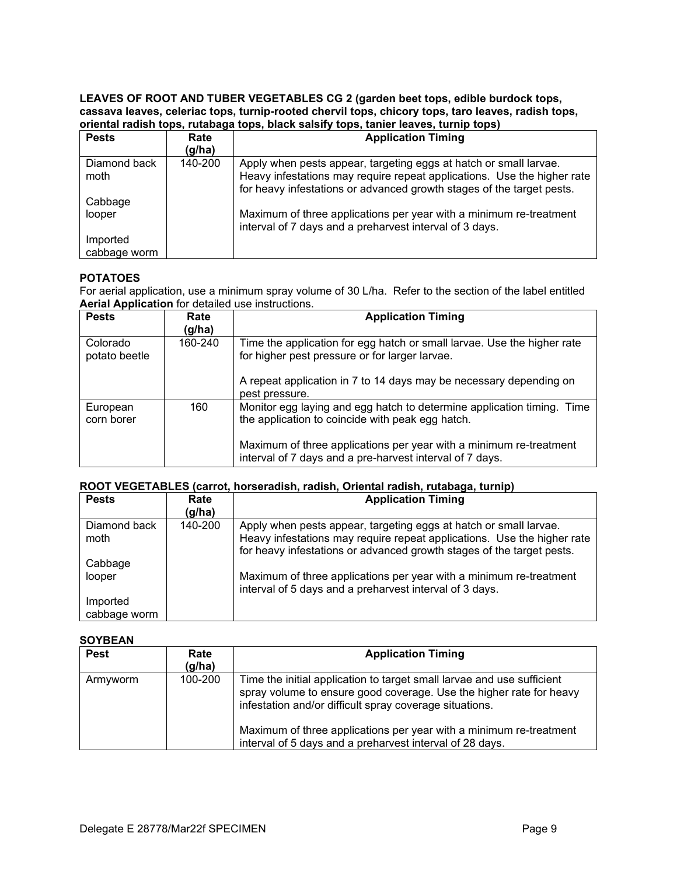#### **LEAVES OF ROOT AND TUBER VEGETABLES CG 2 (garden beet tops, edible burdock tops, cassava leaves, celeriac tops, turnip-rooted chervil tops, chicory tops, taro leaves, radish tops, oriental radish tops, rutabaga tops, black salsify tops, tanier leaves, turnip tops)**

| <b>Pests</b>             | Rate<br>(g/ha) | <b>Application Timing</b>                                                                                                                                                                                             |
|--------------------------|----------------|-----------------------------------------------------------------------------------------------------------------------------------------------------------------------------------------------------------------------|
| Diamond back<br>moth     | 140-200        | Apply when pests appear, targeting eggs at hatch or small larvae.<br>Heavy infestations may require repeat applications. Use the higher rate<br>for heavy infestations or advanced growth stages of the target pests. |
| Cabbage<br>looper        |                | Maximum of three applications per year with a minimum re-treatment<br>interval of 7 days and a preharvest interval of 3 days.                                                                                         |
| Imported<br>cabbage worm |                |                                                                                                                                                                                                                       |

# **POTATOES**

For aerial application, use a minimum spray volume of 30 L/ha. Refer to the section of the label entitled **Aerial Application** for detailed use instructions.

| <b>Pests</b>              | Rate<br>(g/ha) | <b>Application Timing</b>                                                                                                      |
|---------------------------|----------------|--------------------------------------------------------------------------------------------------------------------------------|
| Colorado<br>potato beetle | 160-240        | Time the application for egg hatch or small larvae. Use the higher rate<br>for higher pest pressure or for larger larvae.      |
|                           |                | A repeat application in 7 to 14 days may be necessary depending on<br>pest pressure.                                           |
| European<br>corn borer    | 160            | Monitor egg laying and egg hatch to determine application timing. Time<br>the application to coincide with peak egg hatch.     |
|                           |                | Maximum of three applications per year with a minimum re-treatment<br>interval of 7 days and a pre-harvest interval of 7 days. |

# **ROOT VEGETABLES (carrot, horseradish, radish, Oriental radish, rutabaga, turnip)**

| <b>Pests</b>         | Rate<br>(g/ha) | <b>Application Timing</b>                                                                                                                        |
|----------------------|----------------|--------------------------------------------------------------------------------------------------------------------------------------------------|
| Diamond back<br>moth | 140-200        | Apply when pests appear, targeting eggs at hatch or small larvae.                                                                                |
|                      |                | Heavy infestations may require repeat applications. Use the higher rate<br>for heavy infestations or advanced growth stages of the target pests. |
| Cabbage              |                |                                                                                                                                                  |
| looper               |                | Maximum of three applications per year with a minimum re-treatment<br>interval of 5 days and a preharvest interval of 3 days.                    |
| Imported             |                |                                                                                                                                                  |
| cabbage worm         |                |                                                                                                                                                  |

# **SOYBEAN**

| <b>Pest</b> | Rate<br>(g/ha) | <b>Application Timing</b>                                                                                                                                                                                |
|-------------|----------------|----------------------------------------------------------------------------------------------------------------------------------------------------------------------------------------------------------|
| Armyworm    | 100-200        | Time the initial application to target small larvae and use sufficient<br>spray volume to ensure good coverage. Use the higher rate for heavy<br>infestation and/or difficult spray coverage situations. |
|             |                | Maximum of three applications per year with a minimum re-treatment<br>interval of 5 days and a preharvest interval of 28 days.                                                                           |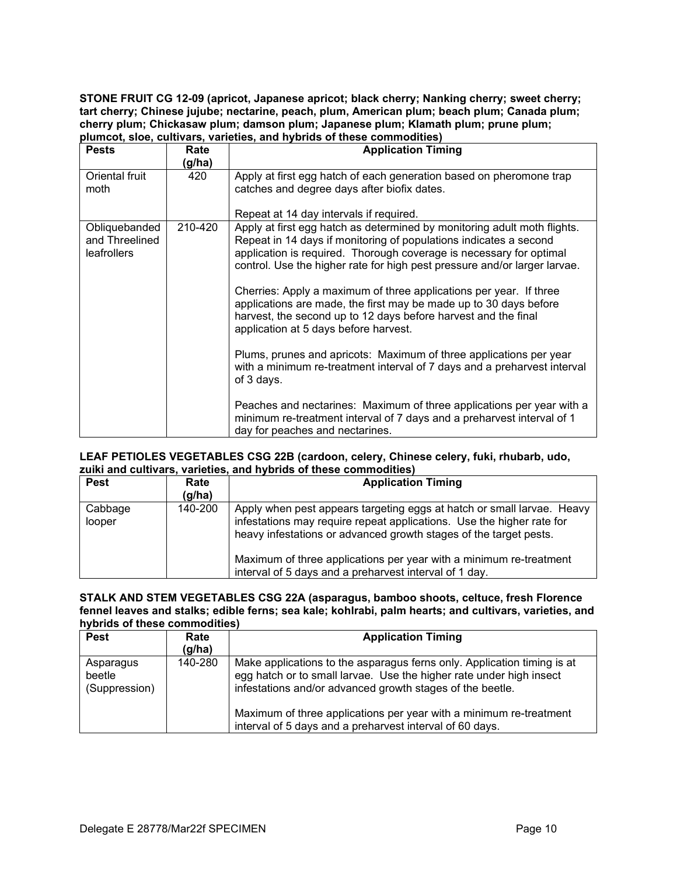**STONE FRUIT CG 12-09 (apricot, Japanese apricot; black cherry; Nanking cherry; sweet cherry; tart cherry; Chinese jujube; nectarine, peach, plum, American plum; beach plum; Canada plum; cherry plum; Chickasaw plum; damson plum; Japanese plum; Klamath plum; prune plum; plumcot, sloe, cultivars, varieties, and hybrids of these commodities)**

| <b>Pests</b>                                          | Rate<br>(g/ha) | <b>Application Timing</b>                                                                                                                                                                                                                                                                                                                                                                                                                                                                                                                                                                                                                                                                                                                                                                                                                                                                                     |
|-------------------------------------------------------|----------------|---------------------------------------------------------------------------------------------------------------------------------------------------------------------------------------------------------------------------------------------------------------------------------------------------------------------------------------------------------------------------------------------------------------------------------------------------------------------------------------------------------------------------------------------------------------------------------------------------------------------------------------------------------------------------------------------------------------------------------------------------------------------------------------------------------------------------------------------------------------------------------------------------------------|
| Oriental fruit<br>moth                                | 420            | Apply at first egg hatch of each generation based on pheromone trap<br>catches and degree days after biofix dates.<br>Repeat at 14 day intervals if required.                                                                                                                                                                                                                                                                                                                                                                                                                                                                                                                                                                                                                                                                                                                                                 |
| Obliquebanded<br>and Threelined<br><b>leafrollers</b> | 210-420        | Apply at first egg hatch as determined by monitoring adult moth flights.<br>Repeat in 14 days if monitoring of populations indicates a second<br>application is required. Thorough coverage is necessary for optimal<br>control. Use the higher rate for high pest pressure and/or larger larvae.<br>Cherries: Apply a maximum of three applications per year. If three<br>applications are made, the first may be made up to 30 days before<br>harvest, the second up to 12 days before harvest and the final<br>application at 5 days before harvest.<br>Plums, prunes and apricots: Maximum of three applications per year<br>with a minimum re-treatment interval of 7 days and a preharvest interval<br>of 3 days.<br>Peaches and nectarines: Maximum of three applications per year with a<br>minimum re-treatment interval of 7 days and a preharvest interval of 1<br>day for peaches and nectarines. |

#### **LEAF PETIOLES VEGETABLES CSG 22B (cardoon, celery, Chinese celery, fuki, rhubarb, udo, zuiki and cultivars, varieties, and hybrids of these commodities)**

| <b>Pest</b>       | Rate<br>$\left(\frac{q}{h}\right)$ | <b>Application Timing</b>                                                                                                                                                                                                                                                                                                                            |
|-------------------|------------------------------------|------------------------------------------------------------------------------------------------------------------------------------------------------------------------------------------------------------------------------------------------------------------------------------------------------------------------------------------------------|
| Cabbage<br>looper | 140-200                            | Apply when pest appears targeting eggs at hatch or small larvae. Heavy<br>infestations may require repeat applications. Use the higher rate for<br>heavy infestations or advanced growth stages of the target pests.<br>Maximum of three applications per year with a minimum re-treatment<br>interval of 5 days and a preharvest interval of 1 day. |

#### **STALK AND STEM VEGETABLES CSG 22A (asparagus, bamboo shoots, celtuce, fresh Florence fennel leaves and stalks; edible ferns; sea kale; kohlrabi, palm hearts; and cultivars, varieties, and hybrids of these commodities)**

| <b>Pest</b>                          | Rate<br>$\left(\frac{q}{h}\right)$ | <b>Application Timing</b>                                                                                                                                                                                                                                                                                                                     |
|--------------------------------------|------------------------------------|-----------------------------------------------------------------------------------------------------------------------------------------------------------------------------------------------------------------------------------------------------------------------------------------------------------------------------------------------|
| Asparagus<br>beetle<br>(Suppression) | 140-280                            | Make applications to the asparagus ferns only. Application timing is at<br>egg hatch or to small larvae. Use the higher rate under high insect<br>infestations and/or advanced growth stages of the beetle.<br>Maximum of three applications per year with a minimum re-treatment<br>interval of 5 days and a preharvest interval of 60 days. |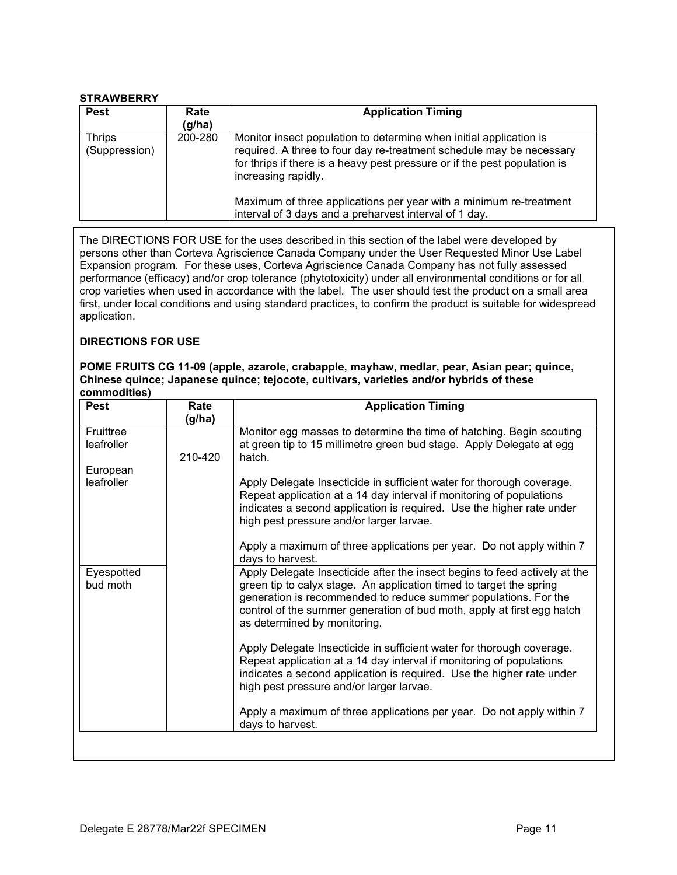# **STRAWBERRY**

| <b>Pest</b>                    | Rate<br>(g/ha) | <b>Application Timing</b>                                                                                                                                                                                                                                                                                                                                                      |
|--------------------------------|----------------|--------------------------------------------------------------------------------------------------------------------------------------------------------------------------------------------------------------------------------------------------------------------------------------------------------------------------------------------------------------------------------|
| <b>Thrips</b><br>(Suppression) | 200-280        | Monitor insect population to determine when initial application is<br>required. A three to four day re-treatment schedule may be necessary<br>for thrips if there is a heavy pest pressure or if the pest population is<br>increasing rapidly.<br>Maximum of three applications per year with a minimum re-treatment<br>interval of 3 days and a preharvest interval of 1 day. |

The DIRECTIONS FOR USE for the uses described in this section of the label were developed by persons other than Corteva Agriscience Canada Company under the User Requested Minor Use Label Expansion program. For these uses, Corteva Agriscience Canada Company has not fully assessed performance (efficacy) and/or crop tolerance (phytotoxicity) under all environmental conditions or for all crop varieties when used in accordance with the label. The user should test the product on a small area first, under local conditions and using standard practices, to confirm the product is suitable for widespread application.

# **DIRECTIONS FOR USE**

#### **POME FRUITS CG 11-09 (apple, azarole, crabapple, mayhaw, medlar, pear, Asian pear; quince, Chinese quince; Japanese quince; tejocote, cultivars, varieties and/or hybrids of these commodities)**

| <b>Pest</b>             | Rate<br>(g/ha) | <b>Application Timing</b>                                                                                                                                                                                                                                                                                                      |  |
|-------------------------|----------------|--------------------------------------------------------------------------------------------------------------------------------------------------------------------------------------------------------------------------------------------------------------------------------------------------------------------------------|--|
| Fruittree<br>leafroller | 210-420        | Monitor egg masses to determine the time of hatching. Begin scouting<br>at green tip to 15 millimetre green bud stage. Apply Delegate at egg<br>hatch.                                                                                                                                                                         |  |
| European                |                |                                                                                                                                                                                                                                                                                                                                |  |
| leafroller              |                | Apply Delegate Insecticide in sufficient water for thorough coverage.<br>Repeat application at a 14 day interval if monitoring of populations<br>indicates a second application is required. Use the higher rate under<br>high pest pressure and/or larger larvae.                                                             |  |
|                         |                | Apply a maximum of three applications per year. Do not apply within 7<br>days to harvest.                                                                                                                                                                                                                                      |  |
| Eyespotted<br>bud moth  |                | Apply Delegate Insecticide after the insect begins to feed actively at the<br>green tip to calyx stage. An application timed to target the spring<br>generation is recommended to reduce summer populations. For the<br>control of the summer generation of bud moth, apply at first egg hatch<br>as determined by monitoring. |  |
|                         |                | Apply Delegate Insecticide in sufficient water for thorough coverage.<br>Repeat application at a 14 day interval if monitoring of populations<br>indicates a second application is required. Use the higher rate under<br>high pest pressure and/or larger larvae.                                                             |  |
|                         |                | Apply a maximum of three applications per year. Do not apply within 7<br>days to harvest.                                                                                                                                                                                                                                      |  |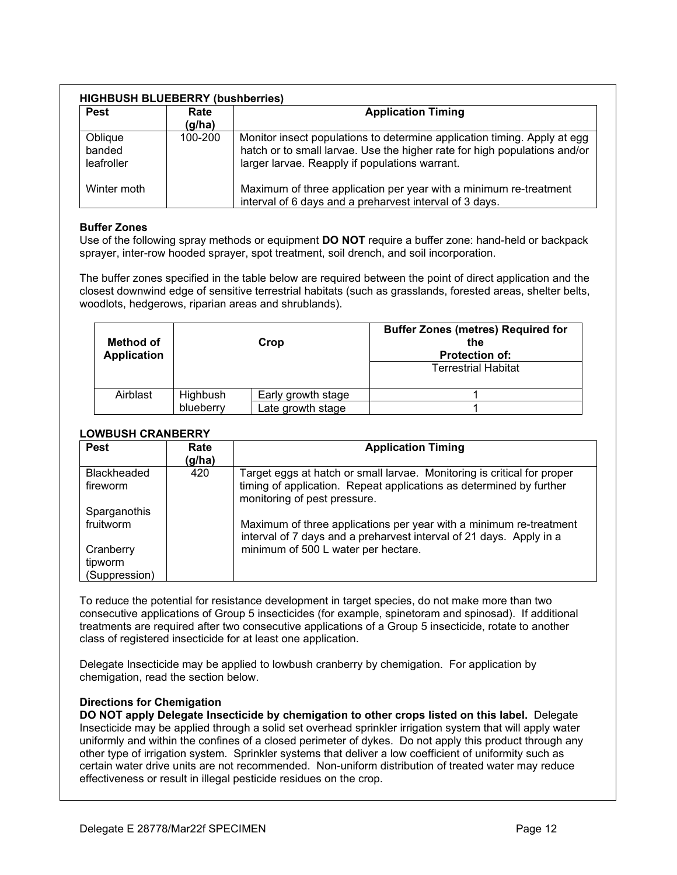| <b>Pest</b>                     | Rate<br>(g/ha) | <b>Application Timing</b>                                                                                                                                                                               |
|---------------------------------|----------------|---------------------------------------------------------------------------------------------------------------------------------------------------------------------------------------------------------|
| Oblique<br>banded<br>leafroller | 100-200        | Monitor insect populations to determine application timing. Apply at egg<br>hatch or to small larvae. Use the higher rate for high populations and/or<br>larger larvae. Reapply if populations warrant. |
| Winter moth                     |                | Maximum of three application per year with a minimum re-treatment<br>interval of 6 days and a preharvest interval of 3 days.                                                                            |

# **Buffer Zones**

Use of the following spray methods or equipment **DO NOT** require a buffer zone: hand-held or backpack sprayer, inter-row hooded sprayer, spot treatment, soil drench, and soil incorporation.

The buffer zones specified in the table below are required between the point of direct application and the closest downwind edge of sensitive terrestrial habitats (such as grasslands, forested areas, shelter belts, woodlots, hedgerows, riparian areas and shrublands).

| Method of<br><b>Application</b> |           | Crop               | <b>Buffer Zones (metres) Required for</b><br>the<br><b>Protection of:</b> |
|---------------------------------|-----------|--------------------|---------------------------------------------------------------------------|
|                                 |           |                    | <b>Terrestrial Habitat</b>                                                |
| Airblast                        | Highbush  | Early growth stage |                                                                           |
|                                 | blueberry | Late growth stage  |                                                                           |

# **LOWBUSH CRANBERRY**

| <b>Pest</b>                                                        | Rate<br>(g/ha) | <b>Application Timing</b>                                                                                                                                                        |
|--------------------------------------------------------------------|----------------|----------------------------------------------------------------------------------------------------------------------------------------------------------------------------------|
| <b>Blackheaded</b><br>fireworm                                     | 420            | Target eggs at hatch or small larvae. Monitoring is critical for proper<br>timing of application. Repeat applications as determined by further<br>monitoring of pest pressure.   |
| Sparganothis<br>fruitworm<br>Cranberry<br>tipworm<br>(Suppression) |                | Maximum of three applications per year with a minimum re-treatment<br>interval of 7 days and a preharvest interval of 21 days. Apply in a<br>minimum of 500 L water per hectare. |

To reduce the potential for resistance development in target species, do not make more than two consecutive applications of Group 5 insecticides (for example, spinetoram and spinosad). If additional treatments are required after two consecutive applications of a Group 5 insecticide, rotate to another class of registered insecticide for at least one application.

Delegate Insecticide may be applied to lowbush cranberry by chemigation. For application by chemigation, read the section below.

#### **Directions for Chemigation**

**DO NOT apply Delegate Insecticide by chemigation to other crops listed on this label.** Delegate Insecticide may be applied through a solid set overhead sprinkler irrigation system that will apply water uniformly and within the confines of a closed perimeter of dykes. Do not apply this product through any other type of irrigation system. Sprinkler systems that deliver a low coefficient of uniformity such as certain water drive units are not recommended. Non-uniform distribution of treated water may reduce effectiveness or result in illegal pesticide residues on the crop.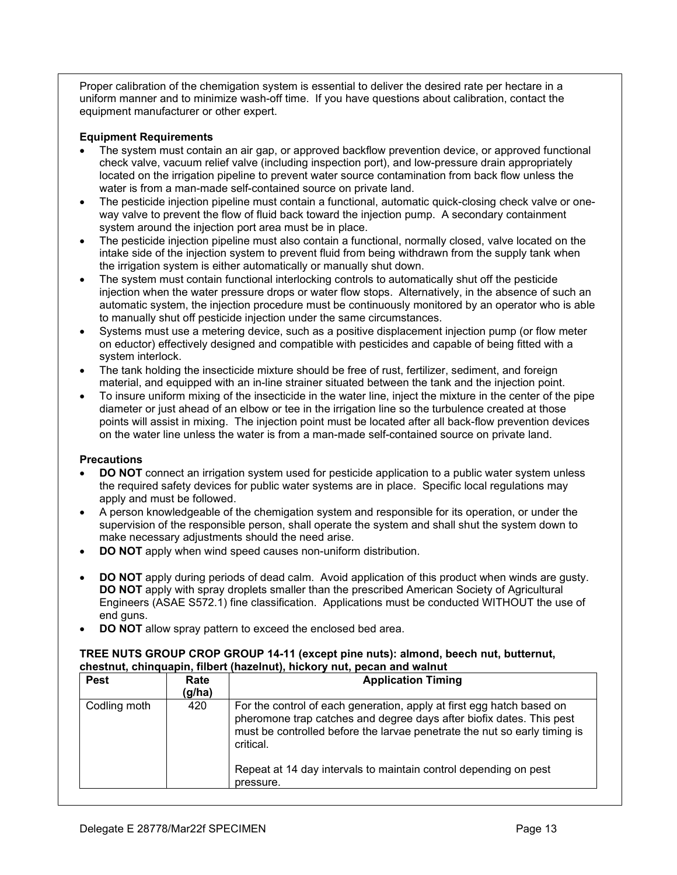Proper calibration of the chemigation system is essential to deliver the desired rate per hectare in a uniform manner and to minimize wash-off time. If you have questions about calibration, contact the equipment manufacturer or other expert.

# **Equipment Requirements**

- The system must contain an air gap, or approved backflow prevention device, or approved functional check valve, vacuum relief valve (including inspection port), and low-pressure drain appropriately located on the irrigation pipeline to prevent water source contamination from back flow unless the water is from a man-made self-contained source on private land.
- The pesticide injection pipeline must contain a functional, automatic quick-closing check valve or oneway valve to prevent the flow of fluid back toward the injection pump. A secondary containment system around the injection port area must be in place.
- The pesticide injection pipeline must also contain a functional, normally closed, valve located on the intake side of the injection system to prevent fluid from being withdrawn from the supply tank when the irrigation system is either automatically or manually shut down.
- The system must contain functional interlocking controls to automatically shut off the pesticide injection when the water pressure drops or water flow stops. Alternatively, in the absence of such an automatic system, the injection procedure must be continuously monitored by an operator who is able to manually shut off pesticide injection under the same circumstances.
- Systems must use a metering device, such as a positive displacement injection pump (or flow meter on eductor) effectively designed and compatible with pesticides and capable of being fitted with a system interlock.
- The tank holding the insecticide mixture should be free of rust, fertilizer, sediment, and foreign material, and equipped with an in-line strainer situated between the tank and the injection point.
- To insure uniform mixing of the insecticide in the water line, inject the mixture in the center of the pipe diameter or just ahead of an elbow or tee in the irrigation line so the turbulence created at those points will assist in mixing. The injection point must be located after all back-flow prevention devices on the water line unless the water is from a man-made self-contained source on private land.

# **Precautions**

- **DO NOT** connect an irrigation system used for pesticide application to a public water system unless the required safety devices for public water systems are in place. Specific local regulations may apply and must be followed.
- A person knowledgeable of the chemigation system and responsible for its operation, or under the supervision of the responsible person, shall operate the system and shall shut the system down to make necessary adjustments should the need arise.
- **DO NOT** apply when wind speed causes non-uniform distribution.
- **DO NOT** apply during periods of dead calm. Avoid application of this product when winds are gusty. **DO NOT** apply with spray droplets smaller than the prescribed American Society of Agricultural Engineers (ASAE S572.1) fine classification. Applications must be conducted WITHOUT the use of end guns.
- **DO NOT** allow spray pattern to exceed the enclosed bed area.

#### **TREE NUTS GROUP CROP GROUP 14-11 (except pine nuts): almond, beech nut, butternut, chestnut, chinquapin, filbert (hazelnut), hickory nut, pecan and walnut**

| <b>Pest</b>  | Rate<br>(g/ha) | <b>Application Timing</b>                                                                                                                                                                                                               |
|--------------|----------------|-----------------------------------------------------------------------------------------------------------------------------------------------------------------------------------------------------------------------------------------|
| Codling moth | 420            | For the control of each generation, apply at first egg hatch based on<br>pheromone trap catches and degree days after biofix dates. This pest<br>must be controlled before the larvae penetrate the nut so early timing is<br>critical. |
|              |                | Repeat at 14 day intervals to maintain control depending on pest<br>pressure.                                                                                                                                                           |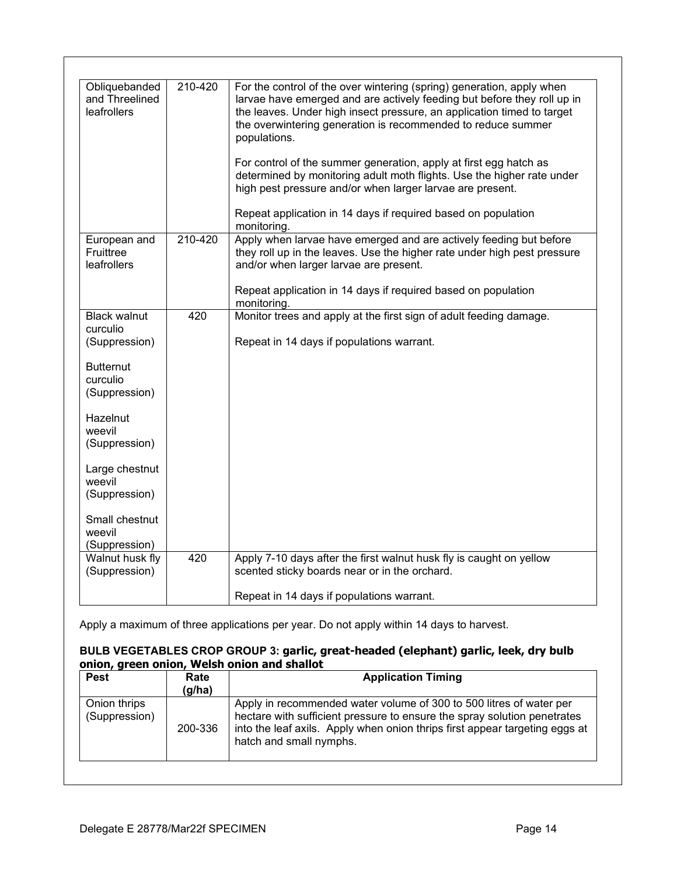| Obliquebanded<br>and Threelined<br>leafrollers   | 210-420 | For the control of the over wintering (spring) generation, apply when<br>larvae have emerged and are actively feeding but before they roll up in<br>the leaves. Under high insect pressure, an application timed to target<br>the overwintering generation is recommended to reduce summer<br>populations.<br>For control of the summer generation, apply at first egg hatch as<br>determined by monitoring adult moth flights. Use the higher rate under<br>high pest pressure and/or when larger larvae are present.<br>Repeat application in 14 days if required based on population<br>monitoring. |
|--------------------------------------------------|---------|--------------------------------------------------------------------------------------------------------------------------------------------------------------------------------------------------------------------------------------------------------------------------------------------------------------------------------------------------------------------------------------------------------------------------------------------------------------------------------------------------------------------------------------------------------------------------------------------------------|
| European and<br>Fruittree<br>leafrollers         | 210-420 | Apply when larvae have emerged and are actively feeding but before<br>they roll up in the leaves. Use the higher rate under high pest pressure<br>and/or when larger larvae are present.<br>Repeat application in 14 days if required based on population                                                                                                                                                                                                                                                                                                                                              |
|                                                  |         | monitoring.                                                                                                                                                                                                                                                                                                                                                                                                                                                                                                                                                                                            |
| <b>Black walnut</b><br>curculio<br>(Suppression) | 420     | Monitor trees and apply at the first sign of adult feeding damage.<br>Repeat in 14 days if populations warrant.                                                                                                                                                                                                                                                                                                                                                                                                                                                                                        |
| <b>Butternut</b><br>curculio<br>(Suppression)    |         |                                                                                                                                                                                                                                                                                                                                                                                                                                                                                                                                                                                                        |
| <b>Hazelnut</b><br>weevil<br>(Suppression)       |         |                                                                                                                                                                                                                                                                                                                                                                                                                                                                                                                                                                                                        |
| Large chestnut<br>weevil<br>(Suppression)        |         |                                                                                                                                                                                                                                                                                                                                                                                                                                                                                                                                                                                                        |
| Small chestnut<br>weevil<br>(Suppression)        |         |                                                                                                                                                                                                                                                                                                                                                                                                                                                                                                                                                                                                        |
| Walnut husk fly<br>(Suppression)                 | 420     | Apply 7-10 days after the first walnut husk fly is caught on yellow<br>scented sticky boards near or in the orchard.                                                                                                                                                                                                                                                                                                                                                                                                                                                                                   |
|                                                  |         | Repeat in 14 days if populations warrant.                                                                                                                                                                                                                                                                                                                                                                                                                                                                                                                                                              |

Apply a maximum of three applications per year. Do not apply within 14 days to harvest.

# **BULB VEGETABLES CROP GROUP 3: garlic, great-headed (elephant) garlic, leek, dry bulb onion, green onion, Welsh onion and shallot**

| <b>Pest</b>                   | Rate<br>(g/ha) | <b>Application Timing</b>                                                                                                                                                                                                                                 |
|-------------------------------|----------------|-----------------------------------------------------------------------------------------------------------------------------------------------------------------------------------------------------------------------------------------------------------|
| Onion thrips<br>(Suppression) | 200-336        | Apply in recommended water volume of 300 to 500 litres of water per<br>hectare with sufficient pressure to ensure the spray solution penetrates<br>into the leaf axils. Apply when onion thrips first appear targeting eggs at<br>hatch and small nymphs. |
|                               |                |                                                                                                                                                                                                                                                           |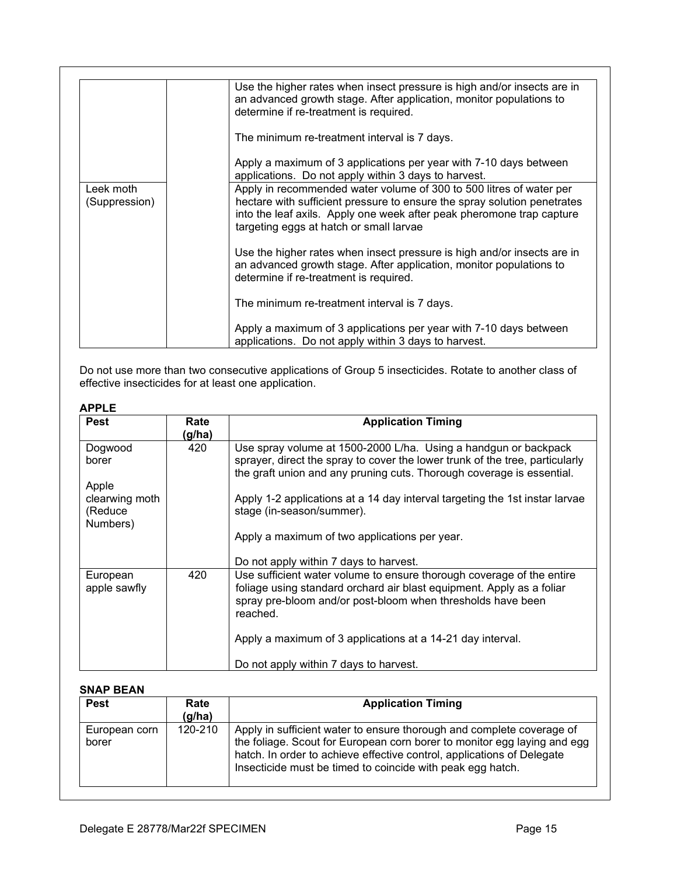|                            | Use the higher rates when insect pressure is high and/or insects are in<br>an advanced growth stage. After application, monitor populations to<br>determine if re-treatment is required.                                                                            |
|----------------------------|---------------------------------------------------------------------------------------------------------------------------------------------------------------------------------------------------------------------------------------------------------------------|
|                            | The minimum re-treatment interval is 7 days.                                                                                                                                                                                                                        |
|                            | Apply a maximum of 3 applications per year with 7-10 days between<br>applications. Do not apply within 3 days to harvest.                                                                                                                                           |
| Leek moth<br>(Suppression) | Apply in recommended water volume of 300 to 500 litres of water per<br>hectare with sufficient pressure to ensure the spray solution penetrates<br>into the leaf axils. Apply one week after peak pheromone trap capture<br>targeting eggs at hatch or small larvae |
|                            | Use the higher rates when insect pressure is high and/or insects are in<br>an advanced growth stage. After application, monitor populations to<br>determine if re-treatment is required.                                                                            |
|                            | The minimum re-treatment interval is 7 days.                                                                                                                                                                                                                        |
|                            | Apply a maximum of 3 applications per year with 7-10 days between<br>applications. Do not apply within 3 days to harvest.                                                                                                                                           |

Do not use more than two consecutive applications of Group 5 insecticides. Rotate to another class of effective insecticides for at least one application.

# **APPLE**

| <b>Pest</b>                                    | Rate   | <b>Application Timing</b>                                                                                                                                                                                                 |
|------------------------------------------------|--------|---------------------------------------------------------------------------------------------------------------------------------------------------------------------------------------------------------------------------|
|                                                | (g/ha) |                                                                                                                                                                                                                           |
| Dogwood<br>borer                               | 420    | Use spray volume at 1500-2000 L/ha. Using a handgun or backpack<br>sprayer, direct the spray to cover the lower trunk of the tree, particularly<br>the graft union and any pruning cuts. Thorough coverage is essential.  |
| Apple<br>clearwing moth<br>(Reduce<br>Numbers) |        | Apply 1-2 applications at a 14 day interval targeting the 1st instar larvae<br>stage (in-season/summer).                                                                                                                  |
|                                                |        | Apply a maximum of two applications per year.<br>Do not apply within 7 days to harvest.                                                                                                                                   |
| European<br>apple sawfly                       | 420    | Use sufficient water volume to ensure thorough coverage of the entire<br>foliage using standard orchard air blast equipment. Apply as a foliar<br>spray pre-bloom and/or post-bloom when thresholds have been<br>reached. |
|                                                |        | Apply a maximum of 3 applications at a 14-21 day interval.<br>Do not apply within 7 days to harvest.                                                                                                                      |
|                                                |        |                                                                                                                                                                                                                           |

# **SNAP BEAN**

| <b>Pest</b>            | Rate<br>(g/ha) | <b>Application Timing</b>                                                                                                                                                                                                                                                                 |
|------------------------|----------------|-------------------------------------------------------------------------------------------------------------------------------------------------------------------------------------------------------------------------------------------------------------------------------------------|
| European corn<br>borer | 120-210        | Apply in sufficient water to ensure thorough and complete coverage of<br>the foliage. Scout for European corn borer to monitor egg laying and egg<br>hatch. In order to achieve effective control, applications of Delegate<br>Insecticide must be timed to coincide with peak egg hatch. |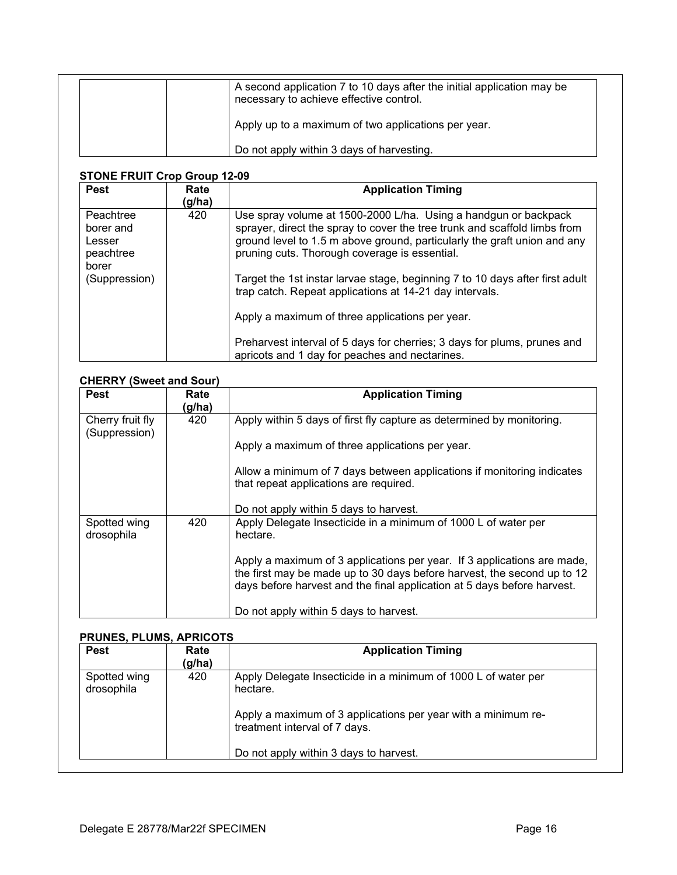| A second application 7 to 10 days after the initial application may be<br>necessary to achieve effective control. |
|-------------------------------------------------------------------------------------------------------------------|
| Apply up to a maximum of two applications per year.                                                               |
| Do not apply within 3 days of harvesting.                                                                         |

# **STONE FRUIT Crop Group 12-09**

| <b>Pest</b>                                                             | Rate<br>(g/ha) | <b>Application Timing</b>                                                                                                                                                                                                                                                                                                                                                                                                                                                                                                                                                                             |
|-------------------------------------------------------------------------|----------------|-------------------------------------------------------------------------------------------------------------------------------------------------------------------------------------------------------------------------------------------------------------------------------------------------------------------------------------------------------------------------------------------------------------------------------------------------------------------------------------------------------------------------------------------------------------------------------------------------------|
| Peachtree<br>borer and<br>Lesser<br>peachtree<br>borer<br>(Suppression) | 420            | Use spray volume at 1500-2000 L/ha. Using a handgun or backpack<br>sprayer, direct the spray to cover the tree trunk and scaffold limbs from<br>ground level to 1.5 m above ground, particularly the graft union and any<br>pruning cuts. Thorough coverage is essential.<br>Target the 1st instar larvae stage, beginning 7 to 10 days after first adult<br>trap catch. Repeat applications at 14-21 day intervals.<br>Apply a maximum of three applications per year.<br>Preharvest interval of 5 days for cherries; 3 days for plums, prunes and<br>apricots and 1 day for peaches and nectarines. |

# **CHERRY (Sweet and Sour)**

| <b>Pest</b>                       | Rate<br>(g/ha) | <b>Application Timing</b>                                                                                                                                                                                                                                                                                                                             |
|-----------------------------------|----------------|-------------------------------------------------------------------------------------------------------------------------------------------------------------------------------------------------------------------------------------------------------------------------------------------------------------------------------------------------------|
| Cherry fruit fly<br>(Suppression) | 420            | Apply within 5 days of first fly capture as determined by monitoring.                                                                                                                                                                                                                                                                                 |
|                                   |                | Apply a maximum of three applications per year.<br>Allow a minimum of 7 days between applications if monitoring indicates<br>that repeat applications are required.<br>Do not apply within 5 days to harvest.                                                                                                                                         |
| Spotted wing<br>drosophila        | 420            | Apply Delegate Insecticide in a minimum of 1000 L of water per<br>hectare.<br>Apply a maximum of 3 applications per year. If 3 applications are made,<br>the first may be made up to 30 days before harvest, the second up to 12<br>days before harvest and the final application at 5 days before harvest.<br>Do not apply within 5 days to harvest. |

# **PRUNES, PLUMS, APRICOTS**

| <b>Pest</b>                | Rate<br>(g/ha) | <b>Application Timing</b>                                                                                                                                                    |
|----------------------------|----------------|------------------------------------------------------------------------------------------------------------------------------------------------------------------------------|
| Spotted wing<br>drosophila | 420            | Apply Delegate Insecticide in a minimum of 1000 L of water per<br>hectare.<br>Apply a maximum of 3 applications per year with a minimum re-<br>treatment interval of 7 days. |
|                            |                | Do not apply within 3 days to harvest.                                                                                                                                       |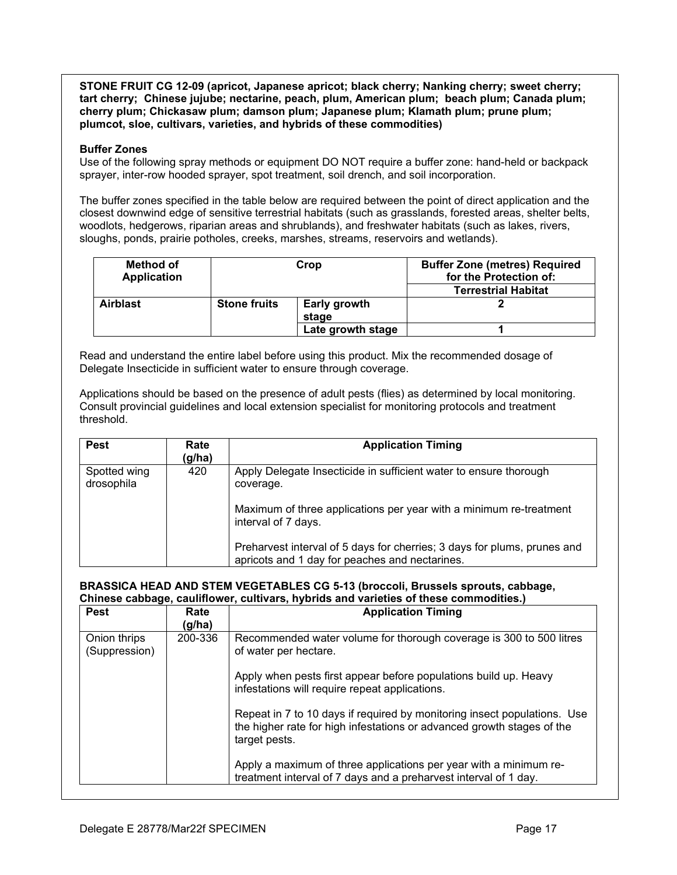**STONE FRUIT CG 12-09 (apricot, Japanese apricot; black cherry; Nanking cherry; sweet cherry; tart cherry; Chinese jujube; nectarine, peach, plum, American plum; beach plum; Canada plum; cherry plum; Chickasaw plum; damson plum; Japanese plum; Klamath plum; prune plum; plumcot, sloe, cultivars, varieties, and hybrids of these commodities)**

# **Buffer Zones**

Use of the following spray methods or equipment DO NOT require a buffer zone: hand-held or backpack sprayer, inter-row hooded sprayer, spot treatment, soil drench, and soil incorporation.

The buffer zones specified in the table below are required between the point of direct application and the closest downwind edge of sensitive terrestrial habitats (such as grasslands, forested areas, shelter belts, woodlots, hedgerows, riparian areas and shrublands), and freshwater habitats (such as lakes, rivers, sloughs, ponds, prairie potholes, creeks, marshes, streams, reservoirs and wetlands).

| Method of<br><b>Application</b> | Crop                |                       | <b>Buffer Zone (metres) Required</b><br>for the Protection of: |
|---------------------------------|---------------------|-----------------------|----------------------------------------------------------------|
|                                 |                     |                       | <b>Terrestrial Habitat</b>                                     |
| <b>Airblast</b>                 | <b>Stone fruits</b> | Early growth<br>stage |                                                                |
|                                 |                     | Late growth stage     |                                                                |

Read and understand the entire label before using this product. Mix the recommended dosage of Delegate Insecticide in sufficient water to ensure through coverage.

Applications should be based on the presence of adult pests (flies) as determined by local monitoring. Consult provincial guidelines and local extension specialist for monitoring protocols and treatment threshold.

| <b>Pest</b>                | Rate<br>(g/ha) | <b>Application Timing</b>                                                                                                  |
|----------------------------|----------------|----------------------------------------------------------------------------------------------------------------------------|
| Spotted wing<br>drosophila | 420            | Apply Delegate Insecticide in sufficient water to ensure thorough<br>coverage.                                             |
|                            |                | Maximum of three applications per year with a minimum re-treatment<br>interval of 7 days.                                  |
|                            |                | Preharvest interval of 5 days for cherries; 3 days for plums, prunes and<br>apricots and 1 day for peaches and nectarines. |

# **BRASSICA HEAD AND STEM VEGETABLES CG 5-13 (broccoli, Brussels sprouts, cabbage, Chinese cabbage, cauliflower, cultivars, hybrids and varieties of these commodities.)**

| <b>Pest</b>                   | Rate<br>(g/ha) | <b>Application Timing</b>                                                                                                                                           |
|-------------------------------|----------------|---------------------------------------------------------------------------------------------------------------------------------------------------------------------|
| Onion thrips<br>(Suppression) | 200-336        | Recommended water volume for thorough coverage is 300 to 500 litres<br>of water per hectare.                                                                        |
|                               |                | Apply when pests first appear before populations build up. Heavy<br>infestations will require repeat applications.                                                  |
|                               |                | Repeat in 7 to 10 days if required by monitoring insect populations. Use<br>the higher rate for high infestations or advanced growth stages of the<br>target pests. |
|                               |                | Apply a maximum of three applications per year with a minimum re-<br>treatment interval of 7 days and a preharvest interval of 1 day.                               |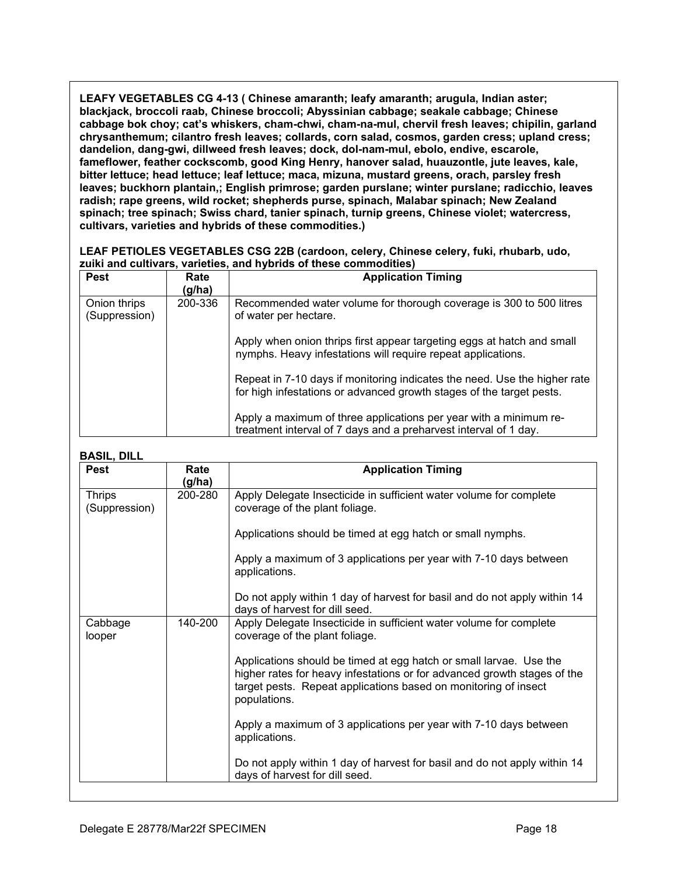**LEAFY VEGETABLES CG 4-13 ( Chinese amaranth; leafy amaranth; arugula, Indian aster; blackjack, broccoli raab, Chinese broccoli; Abyssinian cabbage; seakale cabbage; Chinese cabbage bok choy; cat's whiskers, cham-chwi, cham-na-mul, chervil fresh leaves; chipilin, garland chrysanthemum; cilantro fresh leaves; collards, corn salad, cosmos, garden cress; upland cress; dandelion, dang-gwi, dillweed fresh leaves; dock, dol-nam-mul, ebolo, endive, escarole, fameflower, feather cockscomb, good King Henry, hanover salad, huauzontle, jute leaves, kale, bitter lettuce; head lettuce; leaf lettuce; maca, mizuna, mustard greens, orach, parsley fresh leaves; buckhorn plantain,; English primrose; garden purslane; winter purslane; radicchio, leaves radish; rape greens, wild rocket; shepherds purse, spinach, Malabar spinach; New Zealand spinach; tree spinach; Swiss chard, tanier spinach, turnip greens, Chinese violet; watercress, cultivars, varieties and hybrids of these commodities.)**

# **LEAF PETIOLES VEGETABLES CSG 22B (cardoon, celery, Chinese celery, fuki, rhubarb, udo, zuiki and cultivars, varieties, and hybrids of these commodities)**

| <b>Pest</b>                   | Rate<br>(g/ha) | <b>Application Timing</b>                                                                                                                         |
|-------------------------------|----------------|---------------------------------------------------------------------------------------------------------------------------------------------------|
| Onion thrips<br>(Suppression) | 200-336        | Recommended water volume for thorough coverage is 300 to 500 litres<br>of water per hectare.                                                      |
|                               |                | Apply when onion thrips first appear targeting eggs at hatch and small<br>nymphs. Heavy infestations will require repeat applications.            |
|                               |                | Repeat in 7-10 days if monitoring indicates the need. Use the higher rate<br>for high infestations or advanced growth stages of the target pests. |
|                               |                | Apply a maximum of three applications per year with a minimum re-<br>treatment interval of 7 days and a preharvest interval of 1 day.             |

# **BASIL, DILL**

| <b>Pest</b>                    | Rate<br>(g/ha) | <b>Application Timing</b>                                                                                                                                                                                                                                                                                                                 |
|--------------------------------|----------------|-------------------------------------------------------------------------------------------------------------------------------------------------------------------------------------------------------------------------------------------------------------------------------------------------------------------------------------------|
| <b>Thrips</b><br>(Suppression) | 200-280        | Apply Delegate Insecticide in sufficient water volume for complete<br>coverage of the plant foliage.<br>Applications should be timed at egg hatch or small nymphs.<br>Apply a maximum of 3 applications per year with 7-10 days between                                                                                                   |
|                                |                | applications.<br>Do not apply within 1 day of harvest for basil and do not apply within 14<br>days of harvest for dill seed.                                                                                                                                                                                                              |
| Cabbage<br>looper              | 140-200        | Apply Delegate Insecticide in sufficient water volume for complete<br>coverage of the plant foliage.<br>Applications should be timed at egg hatch or small larvae. Use the<br>higher rates for heavy infestations or for advanced growth stages of the<br>target pests. Repeat applications based on monitoring of insect<br>populations. |
|                                |                | Apply a maximum of 3 applications per year with 7-10 days between<br>applications.<br>Do not apply within 1 day of harvest for basil and do not apply within 14<br>days of harvest for dill seed.                                                                                                                                         |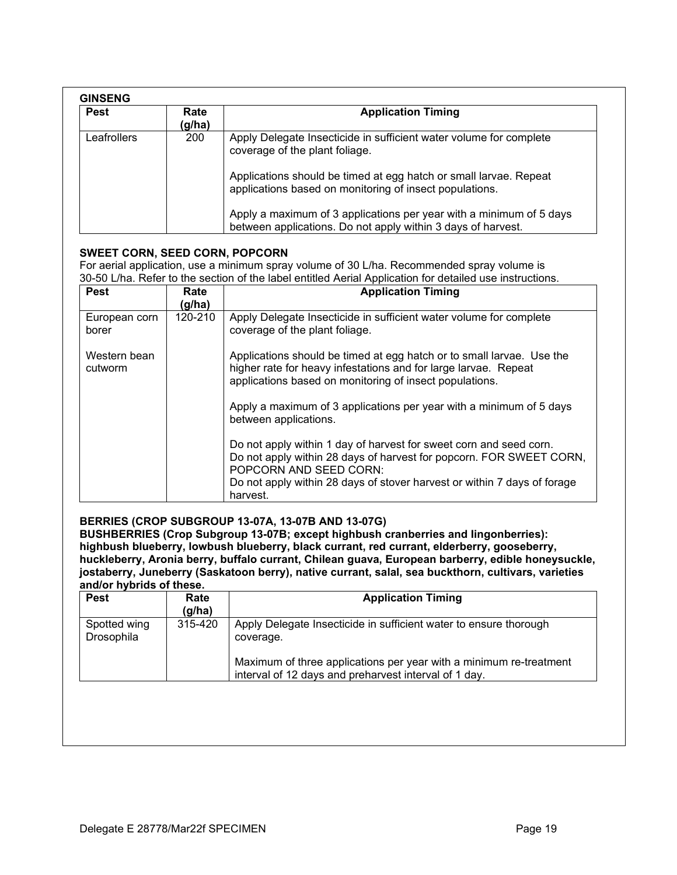| <b>Pest</b> | Rate<br>(g/ha) | <b>Application Timing</b>                                                                                                                                                 |
|-------------|----------------|---------------------------------------------------------------------------------------------------------------------------------------------------------------------------|
| Leafrollers | 200            | Apply Delegate Insecticide in sufficient water volume for complete<br>coverage of the plant foliage.<br>Applications should be timed at egg hatch or small larvae. Repeat |
|             |                | applications based on monitoring of insect populations.                                                                                                                   |
|             |                | Apply a maximum of 3 applications per year with a minimum of 5 days<br>between applications. Do not apply within 3 days of harvest.                                       |

# **SWEET CORN, SEED CORN, POPCORN**

For aerial application, use a minimum spray volume of 30 L/ha. Recommended spray volume is 30-50 L/ha. Refer to the section of the label entitled Aerial Application for detailed use instructions.

| <b>Pest</b>             | Rate<br>(g/ha) | <b>Application Timing</b>                                                                                                                                                                           |
|-------------------------|----------------|-----------------------------------------------------------------------------------------------------------------------------------------------------------------------------------------------------|
| European corn<br>borer  | 120-210        | Apply Delegate Insecticide in sufficient water volume for complete<br>coverage of the plant foliage.                                                                                                |
| Western bean<br>cutworm |                | Applications should be timed at egg hatch or to small larvae. Use the<br>higher rate for heavy infestations and for large larvae. Repeat<br>applications based on monitoring of insect populations. |
|                         |                | Apply a maximum of 3 applications per year with a minimum of 5 days<br>between applications.                                                                                                        |
|                         |                | Do not apply within 1 day of harvest for sweet corn and seed corn.<br>Do not apply within 28 days of harvest for popcorn. FOR SWEET CORN,<br>POPCORN AND SEED CORN:                                 |
|                         |                | Do not apply within 28 days of stover harvest or within 7 days of forage<br>harvest.                                                                                                                |

# **BERRIES (CROP SUBGROUP 13-07A, 13-07B AND 13-07G)**

**BUSHBERRIES (Crop Subgroup 13-07B; except highbush cranberries and Iingonberries): highbush blueberry, lowbush blueberry, black currant, red currant, elderberry, gooseberry, huckleberry, Aronia berry, buffalo currant, Chilean guava, European barberry, edible honeysuckle, jostaberry, Juneberry (Saskatoon berry), native currant, salal, sea buckthorn, cultivars, varieties and/or hybrids of these.**

| <b>Pest</b>                | Rate<br>(g/ha) | <b>Application Timing</b>                                                                                                                            |
|----------------------------|----------------|------------------------------------------------------------------------------------------------------------------------------------------------------|
| Spotted wing<br>Drosophila | 315-420        | Apply Delegate Insecticide in sufficient water to ensure thorough<br>coverage.<br>Maximum of three applications per year with a minimum re-treatment |
|                            |                | interval of 12 days and preharvest interval of 1 day.                                                                                                |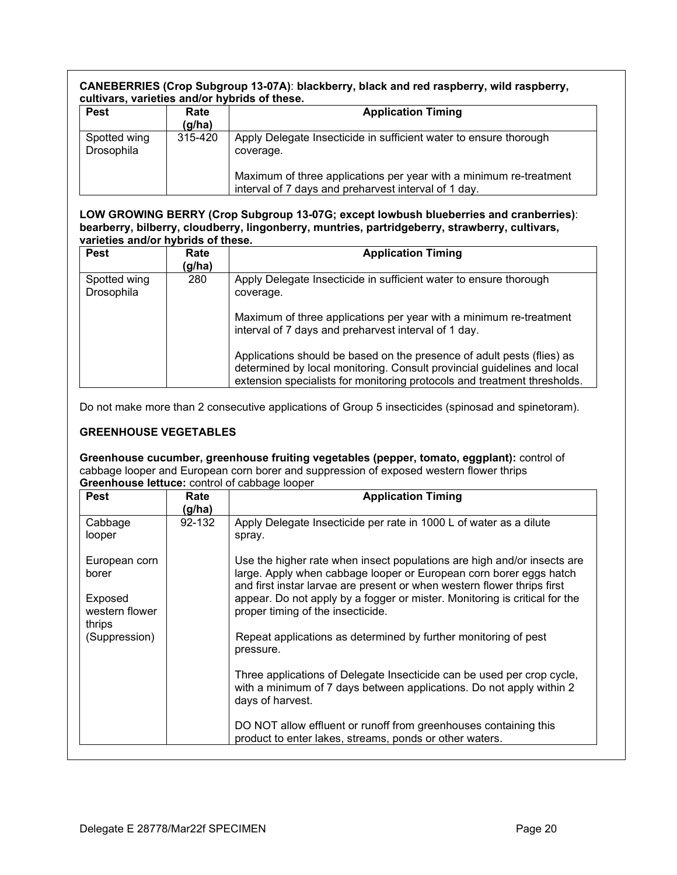# **CANEBERRIES (Crop Subgroup 13-07A)**: **blackberry, black and red raspberry, wild raspberry, cultivars, varieties and/or hybrids of these.**

| <b>Pest</b>                | Rate<br>(g/ha) | <b>Application Timing</b>                                                                                                  |
|----------------------------|----------------|----------------------------------------------------------------------------------------------------------------------------|
| Spotted wing<br>Drosophila | 315-420        | Apply Delegate Insecticide in sufficient water to ensure thorough<br>coverage.                                             |
|                            |                | Maximum of three applications per year with a minimum re-treatment<br>interval of 7 days and preharvest interval of 1 day. |

#### **LOW GROWING BERRY (Crop Subgroup 13-07G; except lowbush blueberries and cranberries)**: **bearberry, bilberry, cloudberry, lingonberry, muntries, partridgeberry, strawberry, cultivars, varieties and/or hybrids of these.**

| <b>Pest</b>                | Rate<br>(g/ha) | <b>Application Timing</b>                                                                                                                                                                                                     |
|----------------------------|----------------|-------------------------------------------------------------------------------------------------------------------------------------------------------------------------------------------------------------------------------|
| Spotted wing<br>Drosophila | 280            | Apply Delegate Insecticide in sufficient water to ensure thorough<br>coverage.                                                                                                                                                |
|                            |                | Maximum of three applications per year with a minimum re-treatment<br>interval of 7 days and preharvest interval of 1 day.                                                                                                    |
|                            |                | Applications should be based on the presence of adult pests (flies) as<br>determined by local monitoring. Consult provincial guidelines and local<br>extension specialists for monitoring protocols and treatment thresholds. |

Do not make more than 2 consecutive applications of Group 5 insecticides (spinosad and spinetoram).

# **GREENHOUSE VEGETABLES**

**Greenhouse cucumber, greenhouse fruiting vegetables (pepper, tomato, eggplant):** control of cabbage looper and European corn borer and suppression of exposed western flower thrips **Greenhouse lettuce:** control of cabbage looper

| <b>Pest</b>                                                   | Rate<br>(g/ha) | <b>Application Timing</b>                                                                                                                                                                                                                                                                                                                   |
|---------------------------------------------------------------|----------------|---------------------------------------------------------------------------------------------------------------------------------------------------------------------------------------------------------------------------------------------------------------------------------------------------------------------------------------------|
| Cabbage<br>looper                                             | 92-132         | Apply Delegate Insecticide per rate in 1000 L of water as a dilute<br>spray.                                                                                                                                                                                                                                                                |
| European corn<br>borer<br>Exposed<br>western flower<br>thrips |                | Use the higher rate when insect populations are high and/or insects are<br>large. Apply when cabbage looper or European corn borer eggs hatch<br>and first instar larvae are present or when western flower thrips first<br>appear. Do not apply by a fogger or mister. Monitoring is critical for the<br>proper timing of the insecticide. |
| (Suppression)                                                 |                | Repeat applications as determined by further monitoring of pest<br>pressure.                                                                                                                                                                                                                                                                |
|                                                               |                | Three applications of Delegate Insecticide can be used per crop cycle,<br>with a minimum of 7 days between applications. Do not apply within 2<br>days of harvest.                                                                                                                                                                          |
|                                                               |                | DO NOT allow effluent or runoff from greenhouses containing this<br>product to enter lakes, streams, ponds or other waters.                                                                                                                                                                                                                 |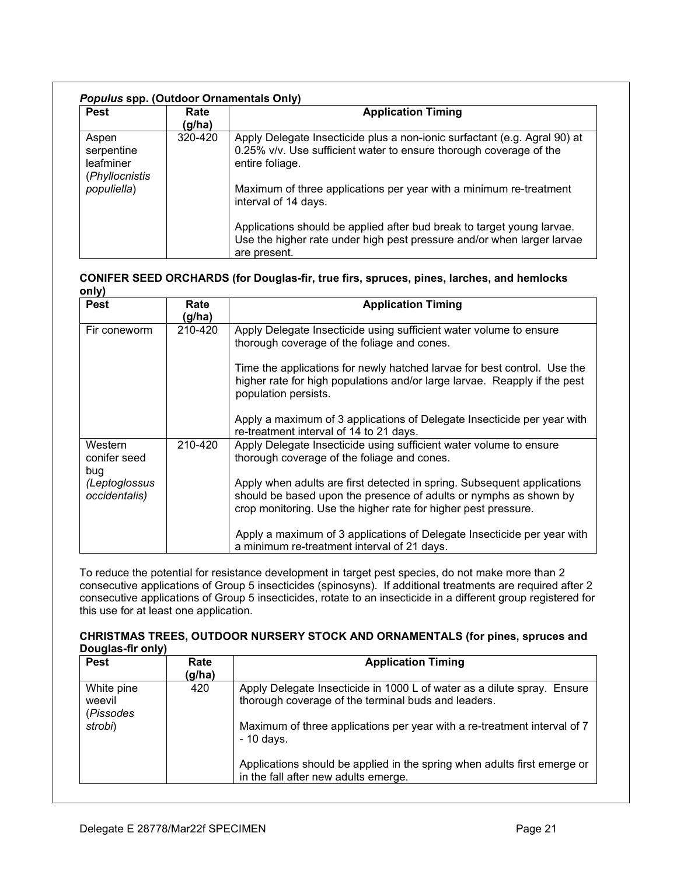| <b>Pest</b>                                                       | Rate<br>(g/ha) | <b>Application Timing</b>                                                                                                                                                                                                                                        |
|-------------------------------------------------------------------|----------------|------------------------------------------------------------------------------------------------------------------------------------------------------------------------------------------------------------------------------------------------------------------|
| Aspen<br>serpentine<br>leafminer<br>(Phyllocnistis<br>populiella) | $320 - 420$    | Apply Delegate Insecticide plus a non-ionic surfactant (e.g. Agral 90) at<br>0.25% v/v. Use sufficient water to ensure thorough coverage of the<br>entire foliage.<br>Maximum of three applications per year with a minimum re-treatment<br>interval of 14 days. |
|                                                                   |                | Applications should be applied after bud break to target young larvae.<br>Use the higher rate under high pest pressure and/or when larger larvae<br>are present.                                                                                                 |

| CONIFER SEED ORCHARDS (for Douglas-fir, true firs, spruces, pines, larches, and hemlocks |  |
|------------------------------------------------------------------------------------------|--|
| only)                                                                                    |  |

| .<br><b>Pest</b>               | Rate<br>(g/ha) | <b>Application Timing</b>                                                                                                                                                                                      |
|--------------------------------|----------------|----------------------------------------------------------------------------------------------------------------------------------------------------------------------------------------------------------------|
| Fir coneworm                   | 210-420        | Apply Delegate Insecticide using sufficient water volume to ensure<br>thorough coverage of the foliage and cones.                                                                                              |
|                                |                | Time the applications for newly hatched larvae for best control. Use the<br>higher rate for high populations and/or large larvae. Reapply if the pest<br>population persists.                                  |
|                                |                | Apply a maximum of 3 applications of Delegate Insecticide per year with<br>re-treatment interval of 14 to 21 days.                                                                                             |
| Western<br>conifer seed<br>bug | 210-420        | Apply Delegate Insecticide using sufficient water volume to ensure<br>thorough coverage of the foliage and cones.                                                                                              |
| (Leptoglossus<br>occidentalis) |                | Apply when adults are first detected in spring. Subsequent applications<br>should be based upon the presence of adults or nymphs as shown by<br>crop monitoring. Use the higher rate for higher pest pressure. |
|                                |                | Apply a maximum of 3 applications of Delegate Insecticide per year with<br>a minimum re-treatment interval of 21 days.                                                                                         |

To reduce the potential for resistance development in target pest species, do not make more than 2 consecutive applications of Group 5 insecticides (spinosyns). If additional treatments are required after 2 consecutive applications of Group 5 insecticides, rotate to an insecticide in a different group registered for this use for at least one application.

# **CHRISTMAS TREES, OUTDOOR NURSERY STOCK AND ORNAMENTALS (for pines, spruces and Douglas-fir only)**

| <b>Pest</b>                                  | Rate<br>(g/ha) | <b>Application Timing</b>                                                                                                                                                                                                                                                                                                                     |
|----------------------------------------------|----------------|-----------------------------------------------------------------------------------------------------------------------------------------------------------------------------------------------------------------------------------------------------------------------------------------------------------------------------------------------|
| White pine<br>weevil<br>(Pissodes<br>strobi) | 420            | Apply Delegate Insecticide in 1000 L of water as a dilute spray. Ensure<br>thorough coverage of the terminal buds and leaders.<br>Maximum of three applications per year with a re-treatment interval of 7<br>$-10$ days.<br>Applications should be applied in the spring when adults first emerge or<br>in the fall after new adults emerge. |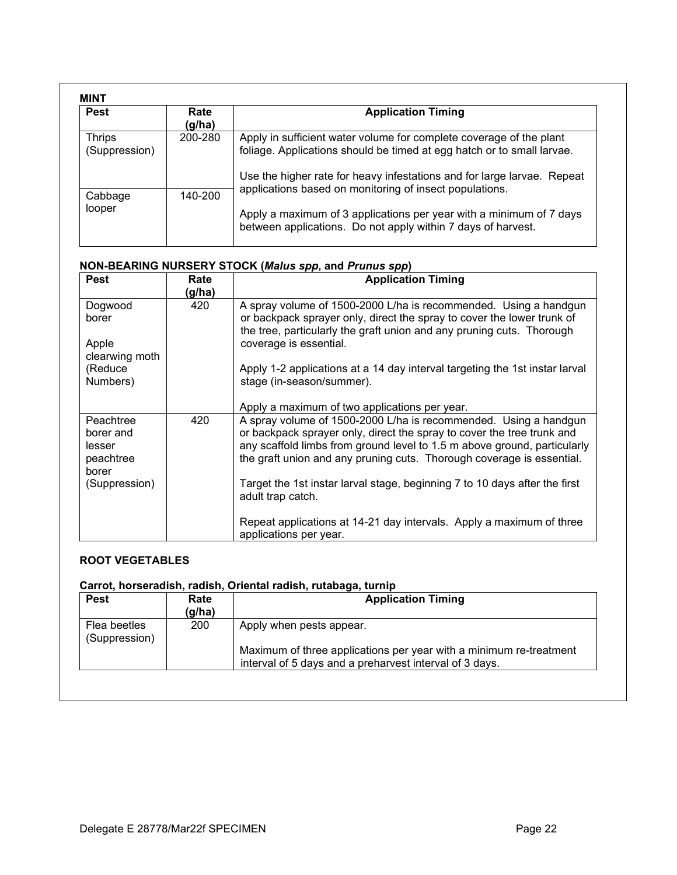| <b>Pest</b>                    | Rate<br>(g/ha) | <b>Application Timing</b>                                                                                                                                                                                                |
|--------------------------------|----------------|--------------------------------------------------------------------------------------------------------------------------------------------------------------------------------------------------------------------------|
| <b>Thrips</b><br>(Suppression) | 200-280        | Apply in sufficient water volume for complete coverage of the plant<br>foliage. Applications should be timed at egg hatch or to small larvae.<br>Use the higher rate for heavy infestations and for large larvae. Repeat |
| Cabbage<br>looper              | 140-200        | applications based on monitoring of insect populations.<br>Apply a maximum of 3 applications per year with a minimum of 7 days<br>between applications. Do not apply within 7 days of harvest.                           |

# **NON-BEARING NURSERY STOCK (***Malus spp***, and** *Prunus spp***)**

| <b>Pest</b>         | Rate<br>(g/ha) | <b>Application Timing</b>                                                                                                                          |
|---------------------|----------------|----------------------------------------------------------------------------------------------------------------------------------------------------|
| Dogwood             | 420            | A spray volume of 1500-2000 L/ha is recommended. Using a handgun                                                                                   |
| borer               |                | or backpack sprayer only, direct the spray to cover the lower trunk of<br>the tree, particularly the graft union and any pruning cuts. Thorough    |
| Apple               |                | coverage is essential.                                                                                                                             |
| clearwing moth      |                |                                                                                                                                                    |
| (Reduce)            |                | Apply 1-2 applications at a 14 day interval targeting the 1st instar larval                                                                        |
| Numbers)            |                | stage (in-season/summer).                                                                                                                          |
|                     |                | Apply a maximum of two applications per year.                                                                                                      |
| Peachtree           | 420            | A spray volume of 1500-2000 L/ha is recommended. Using a handgun                                                                                   |
| borer and<br>lesser |                | or backpack sprayer only, direct the spray to cover the tree trunk and<br>any scaffold limbs from ground level to 1.5 m above ground, particularly |
| peachtree           |                | the graft union and any pruning cuts. Thorough coverage is essential.                                                                              |
| borer               |                |                                                                                                                                                    |
| (Suppression)       |                | Target the 1st instar larval stage, beginning 7 to 10 days after the first                                                                         |
|                     |                | adult trap catch.                                                                                                                                  |
|                     |                | Repeat applications at 14-21 day intervals. Apply a maximum of three                                                                               |
|                     |                | applications per year.                                                                                                                             |

# **ROOT VEGETABLES**

| <b>Pest</b>                   | Rate<br>(g/ha) | <b>Application Timing</b>                                                                                                     |
|-------------------------------|----------------|-------------------------------------------------------------------------------------------------------------------------------|
| Flea beetles<br>(Suppression) | 200            | Apply when pests appear.                                                                                                      |
|                               |                | Maximum of three applications per year with a minimum re-treatment<br>interval of 5 days and a preharvest interval of 3 days. |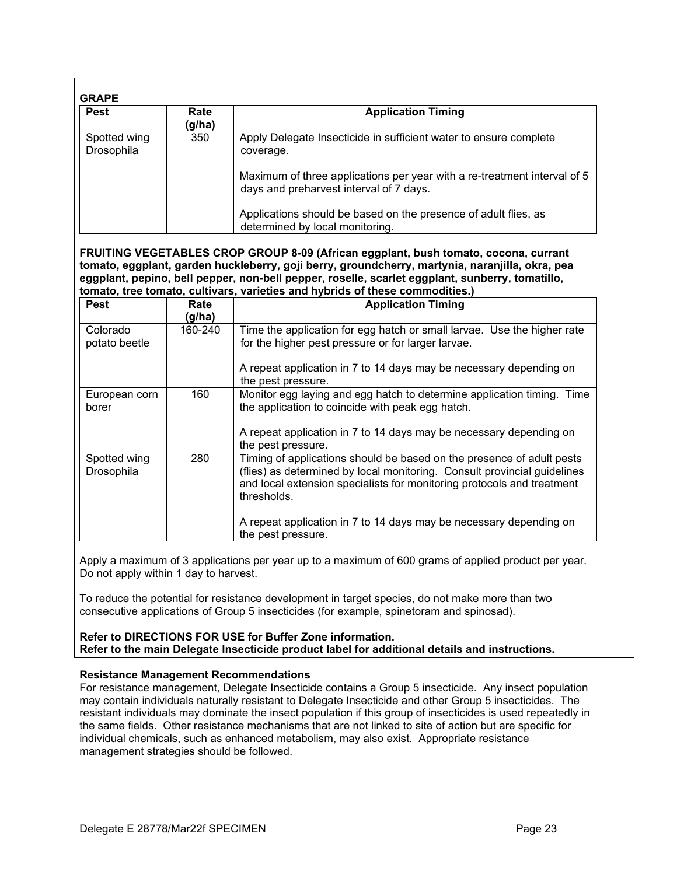| <b>Pest</b>                | Rate<br>(g/ha) | <b>Application Timing</b>                                                                                                                         |
|----------------------------|----------------|---------------------------------------------------------------------------------------------------------------------------------------------------|
| Spotted wing<br>Drosophila | 350            | Apply Delegate Insecticide in sufficient water to ensure complete<br>coverage.                                                                    |
|                            |                | Maximum of three applications per year with a re-treatment interval of 5<br>days and preharvest interval of 7 days.                               |
|                            |                | Applications should be based on the presence of adult flies, as<br>determined by local monitoring.                                                |
|                            |                |                                                                                                                                                   |
|                            |                | FRUITING VEGETABLES CROP GROUP 8-09 (African eggplant, bush tomato, cocona, currant                                                               |
|                            |                | tomato, eggplant, garden huckleberry, goji berry, groundcherry, martynia, naranjilla, okra, pea                                                   |
|                            |                | eggplant, pepino, bell pepper, non-bell pepper, roselle, scarlet eggplant, sunberry, tomatillo,                                                   |
|                            |                | tomato, tree tomato, cultivars, varieties and hybrids of these commodities.)                                                                      |
| <b>Pest</b>                | Rate           | <b>Application Timing</b>                                                                                                                         |
|                            | (g/ha)         |                                                                                                                                                   |
| Colorado                   | 160-240        | Time the application for egg hatch or small larvae. Use the higher rate                                                                           |
| potato beetle              |                | for the higher pest pressure or for larger larvae.                                                                                                |
|                            |                |                                                                                                                                                   |
|                            |                |                                                                                                                                                   |
|                            |                | A repeat application in 7 to 14 days may be necessary depending on                                                                                |
| European corn<br>borer     | 160            | the pest pressure.<br>Monitor egg laying and egg hatch to determine application timing. Time<br>the application to coincide with peak egg hatch.  |
|                            |                | A repeat application in 7 to 14 days may be necessary depending on                                                                                |
|                            | 280            | the pest pressure.                                                                                                                                |
| Spotted wing<br>Drosophila |                | Timing of applications should be based on the presence of adult pests<br>(flies) as determined by local monitoring. Consult provincial guidelines |
|                            |                | and local extension specialists for monitoring protocols and treatment                                                                            |
|                            |                | thresholds.                                                                                                                                       |
|                            |                | A repeat application in 7 to 14 days may be necessary depending on<br>the pest pressure.                                                          |

Apply a maximum of 3 applications per year up to a maximum of 600 grams of applied product per year. Do not apply within 1 day to harvest.

To reduce the potential for resistance development in target species, do not make more than two consecutive applications of Group 5 insecticides (for example, spinetoram and spinosad).

# **Refer to DIRECTIONS FOR USE for Buffer Zone information. Refer to the main Delegate Insecticide product label for additional details and instructions.**

# **Resistance Management Recommendations**

For resistance management, Delegate Insecticide contains a Group 5 insecticide. Any insect population may contain individuals naturally resistant to Delegate Insecticide and other Group 5 insecticides. The resistant individuals may dominate the insect population if this group of insecticides is used repeatedly in the same fields. Other resistance mechanisms that are not linked to site of action but are specific for individual chemicals, such as enhanced metabolism, may also exist. Appropriate resistance management strategies should be followed.